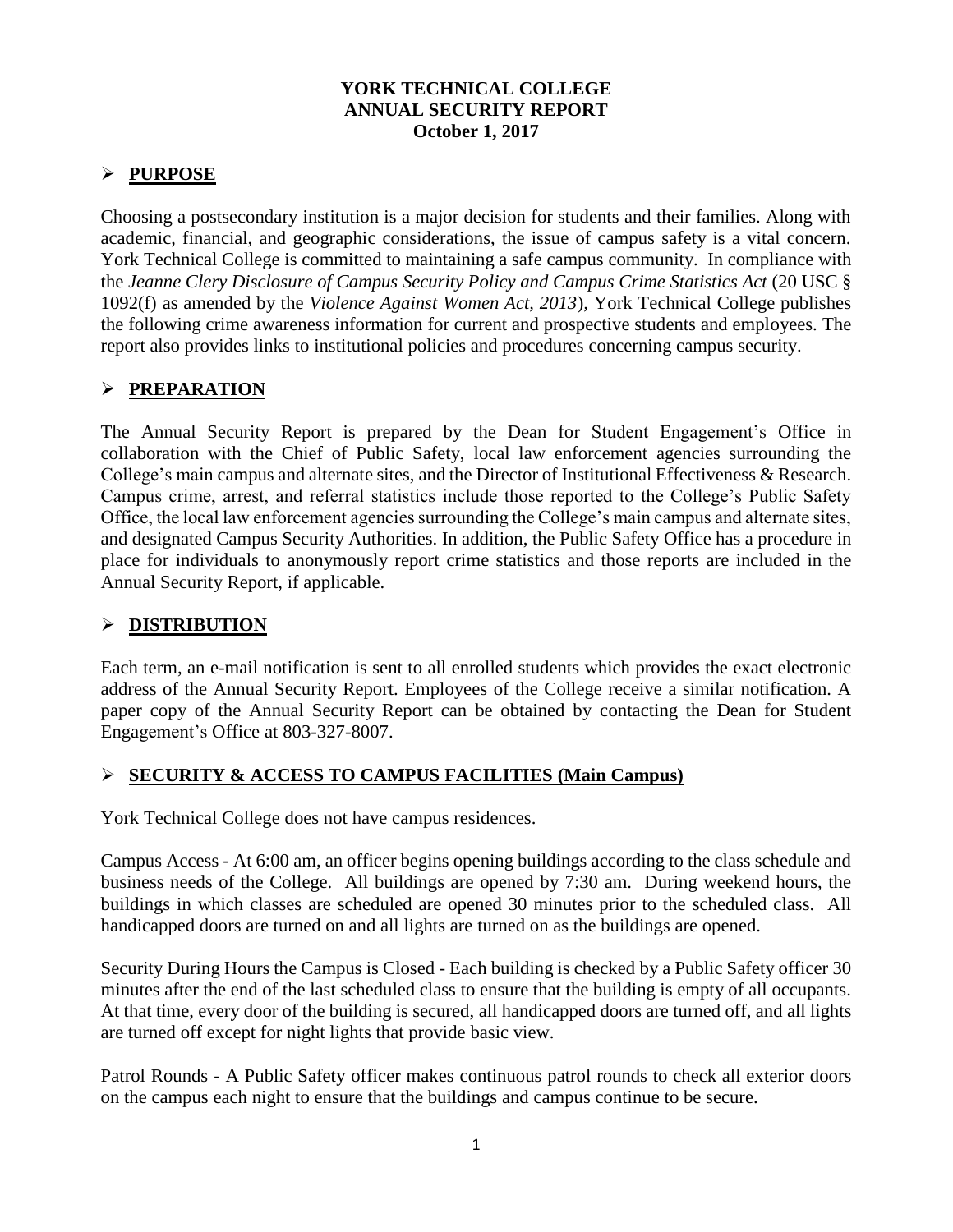#### **YORK TECHNICAL COLLEGE ANNUAL SECURITY REPORT October 1, 2017**

#### **PURPOSE**

Choosing a postsecondary institution is a major decision for students and their families. Along with academic, financial, and geographic considerations, the issue of campus safety is a vital concern. York Technical College is committed to maintaining a safe campus community. In compliance with the *Jeanne Clery Disclosure of Campus Security Policy and Campus Crime Statistics Act* (20 USC § 1092(f) as amended by the *Violence Against Women Act, 2013*)*,* York Technical College publishes the following crime awareness information for current and prospective students and employees. The report also provides links to institutional policies and procedures concerning campus security.

## **PREPARATION**

The Annual Security Report is prepared by the Dean for Student Engagement's Office in collaboration with the Chief of Public Safety, local law enforcement agencies surrounding the College's main campus and alternate sites, and the Director of Institutional Effectiveness & Research. Campus crime, arrest, and referral statistics include those reported to the College's Public Safety Office, the local law enforcement agencies surrounding the College's main campus and alternate sites, and designated Campus Security Authorities. In addition, the Public Safety Office has a procedure in place for individuals to anonymously report crime statistics and those reports are included in the Annual Security Report, if applicable.

#### **DISTRIBUTION**

Each term, an e-mail notification is sent to all enrolled students which provides the exact electronic address of the Annual Security Report. Employees of the College receive a similar notification. A paper copy of the Annual Security Report can be obtained by contacting the Dean for Student Engagement's Office at 803-327-8007.

#### **SECURITY & ACCESS TO CAMPUS FACILITIES (Main Campus)**

York Technical College does not have campus residences.

Campus Access - At 6:00 am, an officer begins opening buildings according to the class schedule and business needs of the College. All buildings are opened by 7:30 am. During weekend hours, the buildings in which classes are scheduled are opened 30 minutes prior to the scheduled class. All handicapped doors are turned on and all lights are turned on as the buildings are opened.

Security During Hours the Campus is Closed - Each building is checked by a Public Safety officer 30 minutes after the end of the last scheduled class to ensure that the building is empty of all occupants. At that time, every door of the building is secured, all handicapped doors are turned off, and all lights are turned off except for night lights that provide basic view.

Patrol Rounds - A Public Safety officer makes continuous patrol rounds to check all exterior doors on the campus each night to ensure that the buildings and campus continue to be secure.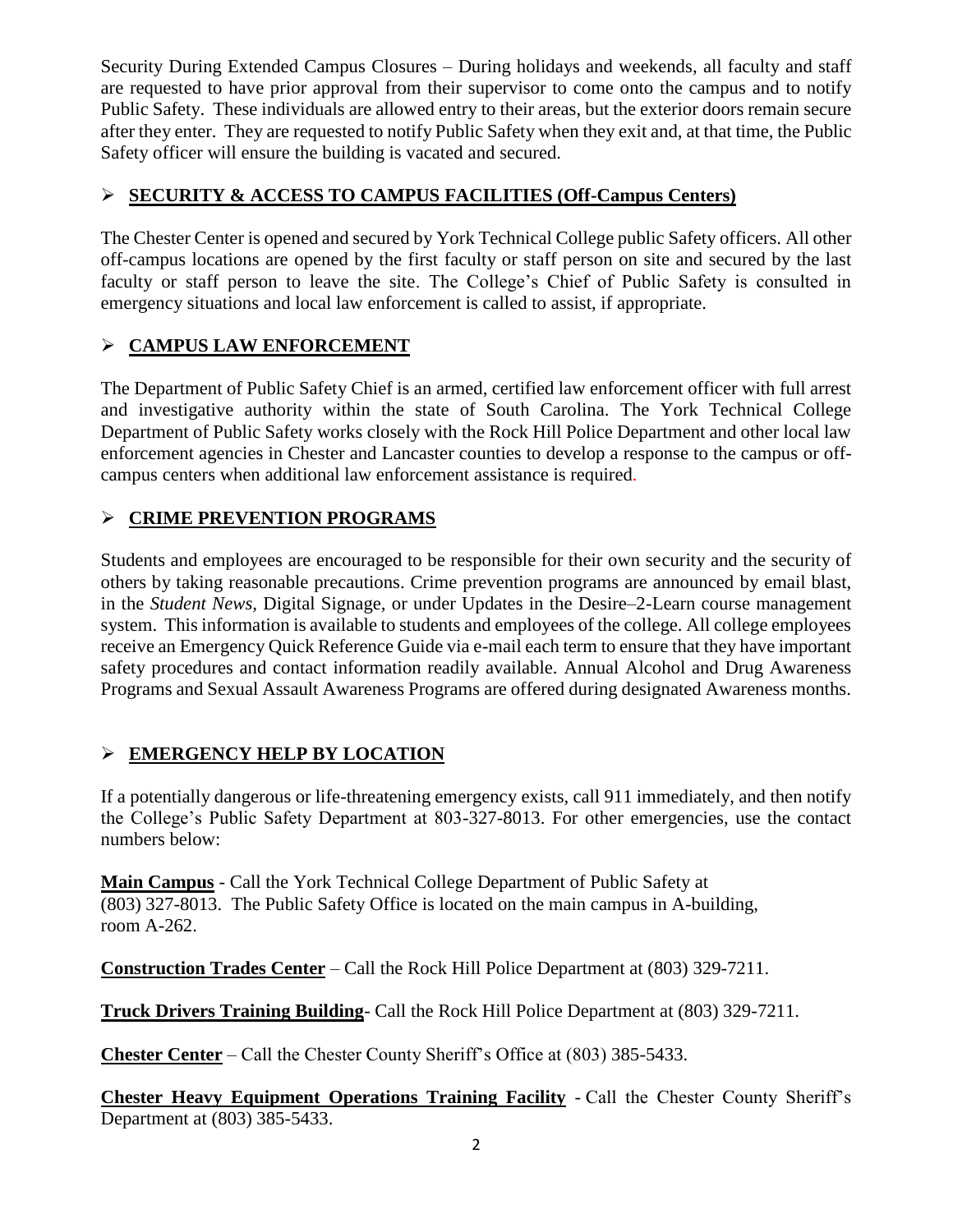Security During Extended Campus Closures – During holidays and weekends, all faculty and staff are requested to have prior approval from their supervisor to come onto the campus and to notify Public Safety. These individuals are allowed entry to their areas, but the exterior doors remain secure after they enter. They are requested to notify Public Safety when they exit and, at that time, the Public Safety officer will ensure the building is vacated and secured.

## **SECURITY & ACCESS TO CAMPUS FACILITIES (Off-Campus Centers)**

The Chester Center is opened and secured by York Technical College public Safety officers. All other off-campus locations are opened by the first faculty or staff person on site and secured by the last faculty or staff person to leave the site. The College's Chief of Public Safety is consulted in emergency situations and local law enforcement is called to assist, if appropriate.

## **CAMPUS LAW ENFORCEMENT**

The Department of Public Safety Chief is an armed, certified law enforcement officer with full arrest and investigative authority within the state of South Carolina. The York Technical College Department of Public Safety works closely with the Rock Hill Police Department and other local law enforcement agencies in Chester and Lancaster counties to develop a response to the campus or offcampus centers when additional law enforcement assistance is required*.*

# **CRIME PREVENTION PROGRAMS**

Students and employees are encouraged to be responsible for their own security and the security of others by taking reasonable precautions. Crime prevention programs are announced by email blast, in the *Student News,* Digital Signage, or under Updates in the Desire–2-Learn course management system. This information is available to students and employees of the college. All college employees receive an Emergency Quick Reference Guide via e-mail each term to ensure that they have important safety procedures and contact information readily available. Annual Alcohol and Drug Awareness Programs and Sexual Assault Awareness Programs are offered during designated Awareness months.

# **EMERGENCY HELP BY LOCATION**

If a potentially dangerous or life-threatening emergency exists, call 911 immediately, and then notify the College's Public Safety Department at 803-327-8013. For other emergencies, use the contact numbers below:

**Main Campus** - Call the York Technical College Department of Public Safety at (803) 327-8013. The Public Safety Office is located on the main campus in A-building, room A-262.

**Construction Trades Center** – Call the Rock Hill Police Department at (803) 329-7211.

**Truck Drivers Training Building**- Call the Rock Hill Police Department at (803) 329-7211.

**Chester Center** – Call the Chester County Sheriff's Office at (803) 385-5433.

**Chester Heavy Equipment Operations Training Facility** - Call the Chester County Sheriff's Department at (803) 385-5433.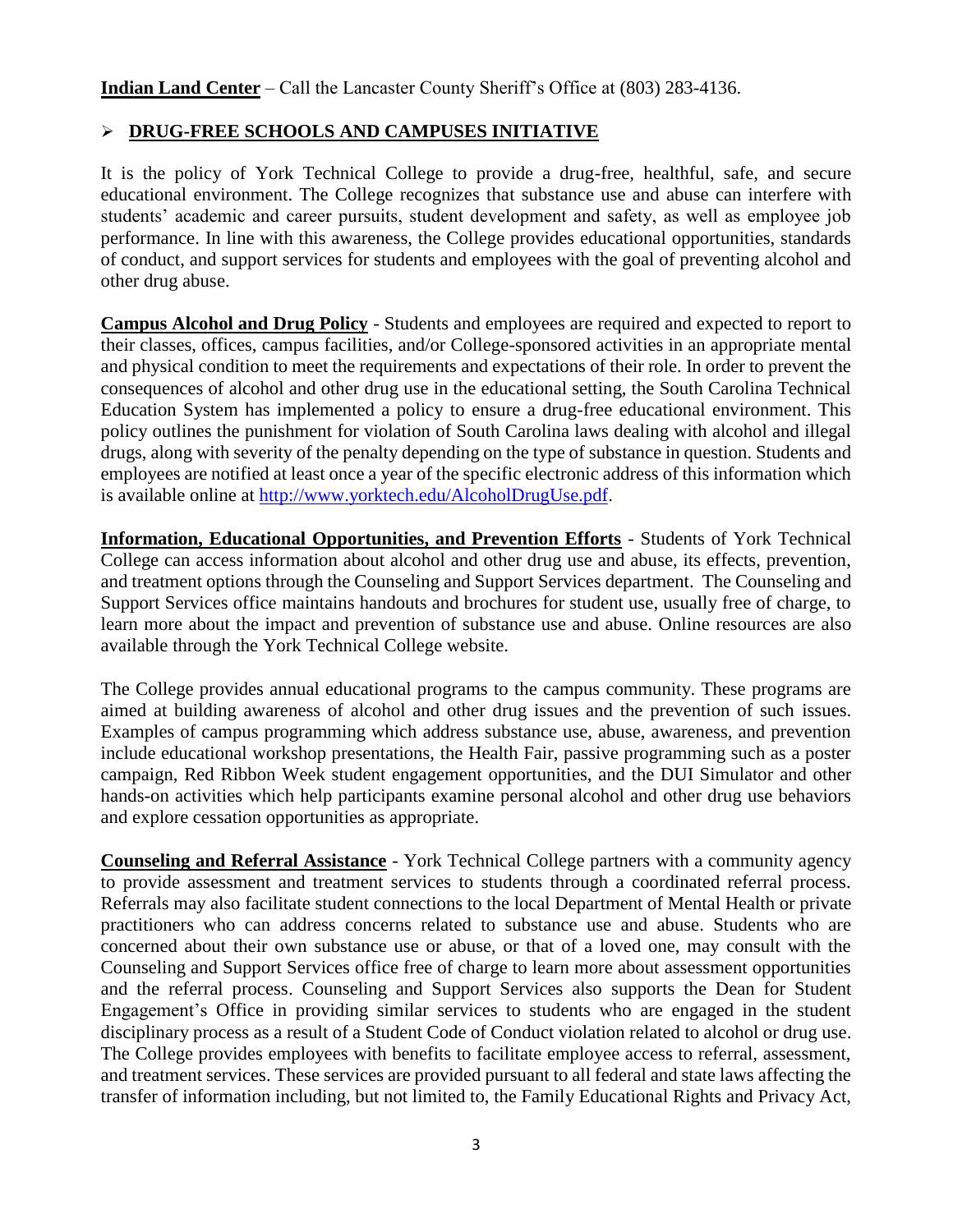**Indian Land Center** – Call the Lancaster County Sheriff's Office at (803) 283-4136.

### **DRUG-FREE SCHOOLS AND CAMPUSES INITIATIVE**

It is the policy of York Technical College to provide a drug-free, healthful, safe, and secure educational environment. The College recognizes that substance use and abuse can interfere with students' academic and career pursuits, student development and safety, as well as employee job performance. In line with this awareness, the College provides educational opportunities, standards of conduct, and support services for students and employees with the goal of preventing alcohol and other drug abuse.

**Campus Alcohol and Drug Policy** - Students and employees are required and expected to report to their classes, offices, campus facilities, and/or College-sponsored activities in an appropriate mental and physical condition to meet the requirements and expectations of their role. In order to prevent the consequences of alcohol and other drug use in the educational setting, the South Carolina Technical Education System has implemented a policy to ensure a drug-free educational environment. This policy outlines the punishment for violation of South Carolina laws dealing with alcohol and illegal drugs, along with severity of the penalty depending on the type of substance in question. Students and employees are notified at least once a year of the specific electronic address of this information which is available online at [http://www.yorktech.edu/AlcoholDrugUse.pdf.](http://www.yorktech.edu/AlcoholDrugUse.pdf)

**Information, Educational Opportunities, and Prevention Efforts** - Students of York Technical College can access information about alcohol and other drug use and abuse, its effects, prevention, and treatment options through the Counseling and Support Services department. The Counseling and Support Services office maintains handouts and brochures for student use, usually free of charge, to learn more about the impact and prevention of substance use and abuse. Online resources are also available through the York Technical College website.

The College provides annual educational programs to the campus community. These programs are aimed at building awareness of alcohol and other drug issues and the prevention of such issues. Examples of campus programming which address substance use, abuse, awareness, and prevention include educational workshop presentations, the Health Fair, passive programming such as a poster campaign, Red Ribbon Week student engagement opportunities, and the DUI Simulator and other hands-on activities which help participants examine personal alcohol and other drug use behaviors and explore cessation opportunities as appropriate.

**Counseling and Referral Assistance** - York Technical College partners with a community agency to provide assessment and treatment services to students through a coordinated referral process. Referrals may also facilitate student connections to the local Department of Mental Health or private practitioners who can address concerns related to substance use and abuse. Students who are concerned about their own substance use or abuse, or that of a loved one, may consult with the Counseling and Support Services office free of charge to learn more about assessment opportunities and the referral process. Counseling and Support Services also supports the Dean for Student Engagement's Office in providing similar services to students who are engaged in the student disciplinary process as a result of a Student Code of Conduct violation related to alcohol or drug use. The College provides employees with benefits to facilitate employee access to referral, assessment, and treatment services. These services are provided pursuant to all federal and state laws affecting the transfer of information including, but not limited to, the Family Educational Rights and Privacy Act,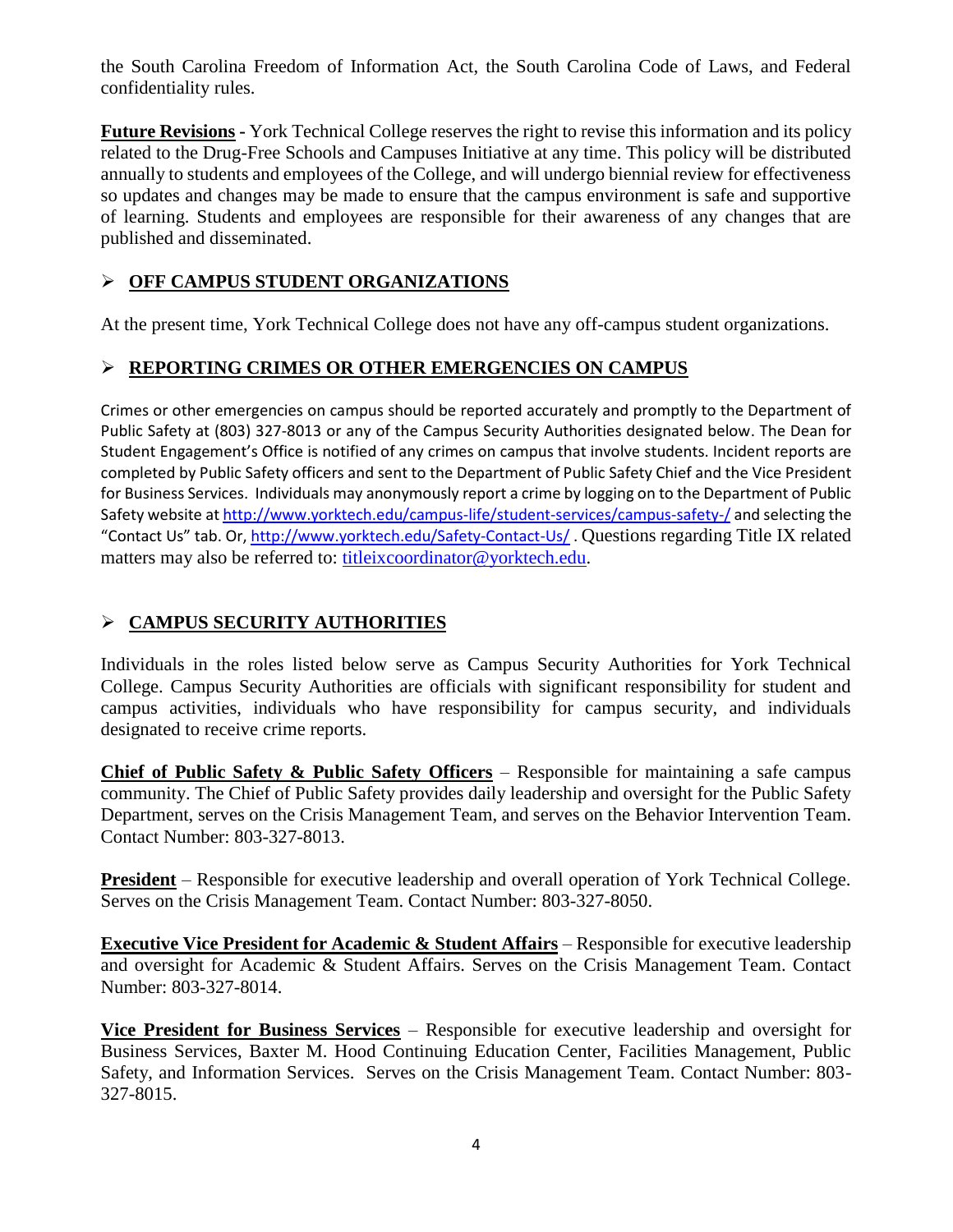the South Carolina Freedom of Information Act, the South Carolina Code of Laws, and Federal confidentiality rules.

**Future Revisions -** York Technical College reserves the right to revise this information and its policy related to the Drug-Free Schools and Campuses Initiative at any time. This policy will be distributed annually to students and employees of the College, and will undergo biennial review for effectiveness so updates and changes may be made to ensure that the campus environment is safe and supportive of learning. Students and employees are responsible for their awareness of any changes that are published and disseminated.

## **OFF CAMPUS STUDENT ORGANIZATIONS**

At the present time, York Technical College does not have any off-campus student organizations.

## **REPORTING CRIMES OR OTHER EMERGENCIES ON CAMPUS**

Crimes or other emergencies on campus should be reported accurately and promptly to the Department of Public Safety at (803) 327-8013 or any of the Campus Security Authorities designated below. The Dean for Student Engagement's Office is notified of any crimes on campus that involve students. Incident reports are completed by Public Safety officers and sent to the Department of Public Safety Chief and the Vice President for Business Services. Individuals may anonymously report a crime by logging on to the Department of Public Safety website a[t http://www.yorktech.edu/campus-life/student-services/campus-safety-/](http://www.yorktech.edu/campus-life/student-services/campus-safety-/) and selecting the "Contact Us" tab. Or, <http://www.yorktech.edu/Safety-Contact-Us/> . Questions regarding Title IX related matters may also be referred to: [titleixcoordinator@yorktech.edu.](mailto:titleixcoordinator@yorktech.edu)

## **CAMPUS SECURITY AUTHORITIES**

Individuals in the roles listed below serve as Campus Security Authorities for York Technical College. Campus Security Authorities are officials with significant responsibility for student and campus activities, individuals who have responsibility for campus security, and individuals designated to receive crime reports.

**Chief of Public Safety & Public Safety Officers** – Responsible for maintaining a safe campus community. The Chief of Public Safety provides daily leadership and oversight for the Public Safety Department, serves on the Crisis Management Team, and serves on the Behavior Intervention Team. Contact Number: 803-327-8013.

**President** – Responsible for executive leadership and overall operation of York Technical College. Serves on the Crisis Management Team. Contact Number: 803-327-8050.

**Executive Vice President for Academic & Student Affairs** – Responsible for executive leadership and oversight for Academic & Student Affairs. Serves on the Crisis Management Team. Contact Number: 803-327-8014.

**Vice President for Business Services** – Responsible for executive leadership and oversight for Business Services, Baxter M. Hood Continuing Education Center, Facilities Management, Public Safety, and Information Services. Serves on the Crisis Management Team. Contact Number: 803- 327-8015.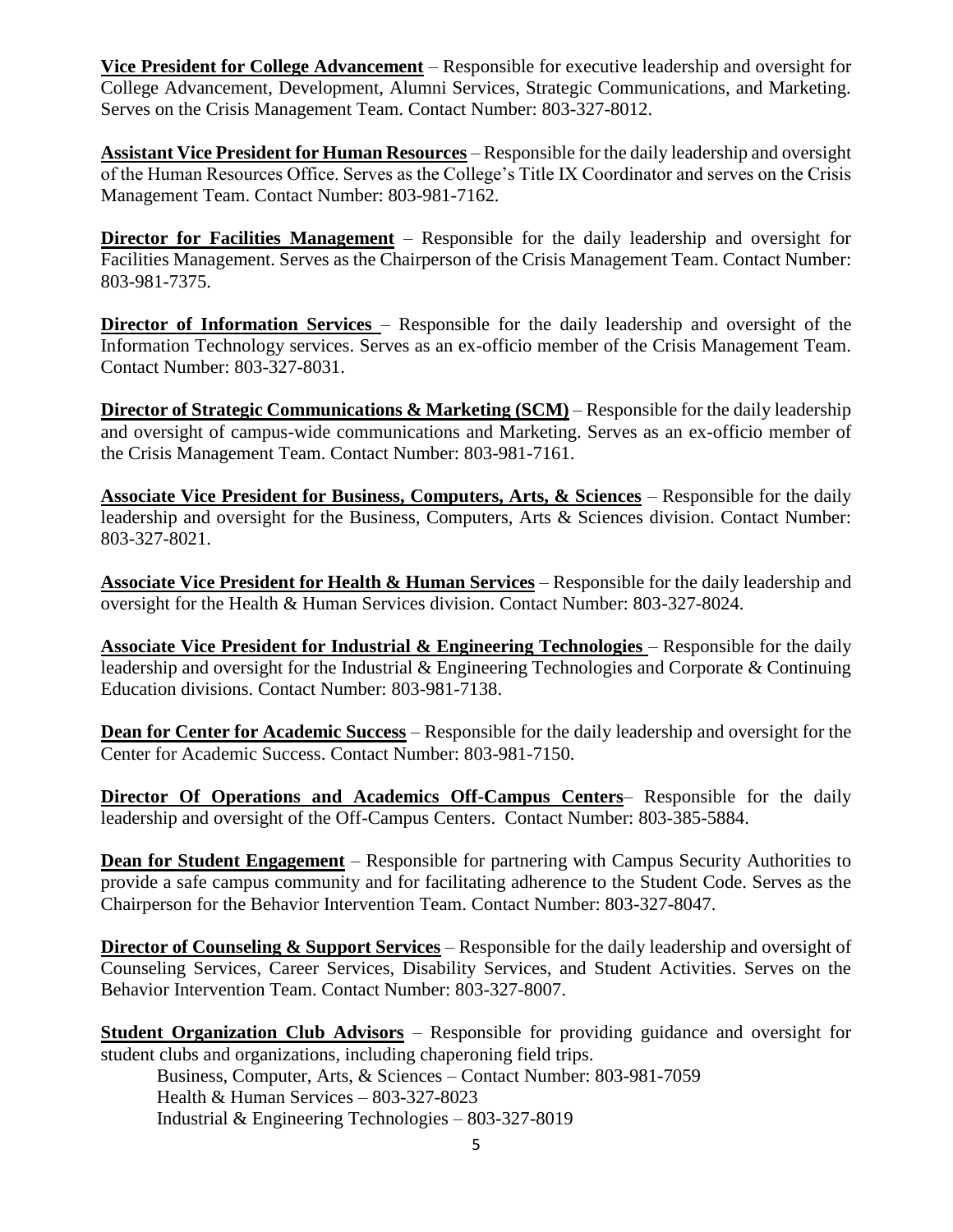**Vice President for College Advancement** – Responsible for executive leadership and oversight for College Advancement, Development, Alumni Services, Strategic Communications, and Marketing. Serves on the Crisis Management Team. Contact Number: 803-327-8012.

**Assistant Vice President for Human Resources** – Responsible for the daily leadership and oversight of the Human Resources Office. Serves as the College's Title IX Coordinator and serves on the Crisis Management Team. Contact Number: 803-981-7162.

**Director for Facilities Management** – Responsible for the daily leadership and oversight for Facilities Management. Serves as the Chairperson of the Crisis Management Team. Contact Number: 803-981-7375.

**Director of Information Services** – Responsible for the daily leadership and oversight of the Information Technology services. Serves as an ex-officio member of the Crisis Management Team. Contact Number: 803-327-8031.

**Director of Strategic Communications & Marketing (SCM)** – Responsible for the daily leadership and oversight of campus-wide communications and Marketing. Serves as an ex-officio member of the Crisis Management Team. Contact Number: 803-981-7161.

**Associate Vice President for Business, Computers, Arts, & Sciences** – Responsible for the daily leadership and oversight for the Business, Computers, Arts & Sciences division. Contact Number: 803-327-8021.

**Associate Vice President for Health & Human Services** – Responsible for the daily leadership and oversight for the Health & Human Services division. Contact Number: 803-327-8024.

**Associate Vice President for Industrial & Engineering Technologies** – Responsible for the daily leadership and oversight for the Industrial & Engineering Technologies and Corporate & Continuing Education divisions. Contact Number: 803-981-7138.

**Dean for Center for Academic Success** – Responsible for the daily leadership and oversight for the Center for Academic Success. Contact Number: 803-981-7150.

**Director Of Operations and Academics Off-Campus Centers**– Responsible for the daily leadership and oversight of the Off-Campus Centers. Contact Number: 803-385-5884.

**Dean for Student Engagement** – Responsible for partnering with Campus Security Authorities to provide a safe campus community and for facilitating adherence to the Student Code. Serves as the Chairperson for the Behavior Intervention Team. Contact Number: 803-327-8047.

**Director of Counseling & Support Services** – Responsible for the daily leadership and oversight of Counseling Services, Career Services, Disability Services, and Student Activities. Serves on the Behavior Intervention Team. Contact Number: 803-327-8007.

**Student Organization Club Advisors** – Responsible for providing guidance and oversight for student clubs and organizations, including chaperoning field trips.

Business, Computer, Arts, & Sciences – Contact Number: 803-981-7059 Health & Human Services – 803-327-8023 Industrial & Engineering Technologies – 803-327-8019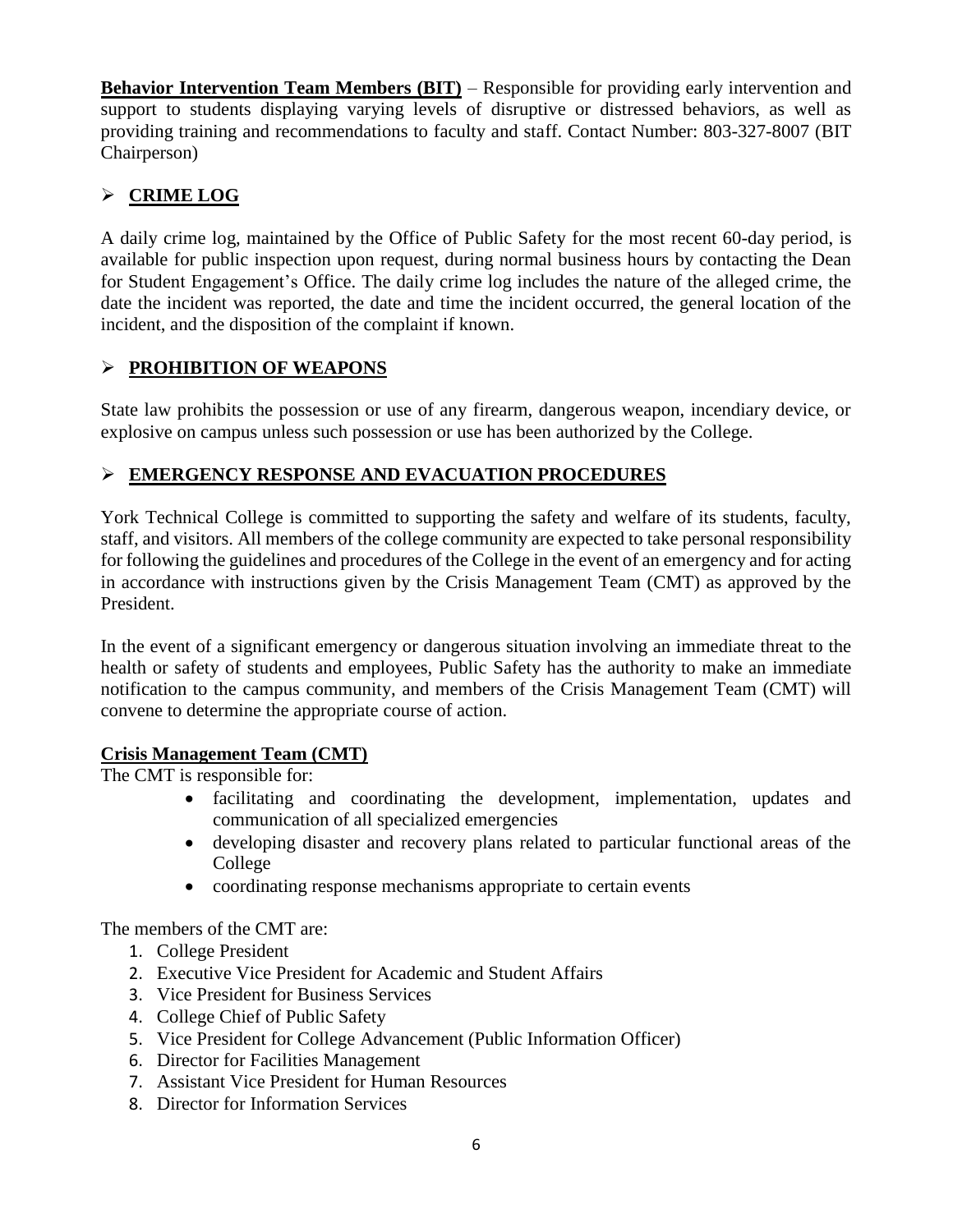**Behavior Intervention Team Members (BIT)** – Responsible for providing early intervention and support to students displaying varying levels of disruptive or distressed behaviors, as well as providing training and recommendations to faculty and staff. Contact Number: 803-327-8007 (BIT Chairperson)

## **CRIME LOG**

A daily crime log, maintained by the Office of Public Safety for the most recent 60-day period, is available for public inspection upon request, during normal business hours by contacting the Dean for Student Engagement's Office. The daily crime log includes the nature of the alleged crime, the date the incident was reported, the date and time the incident occurred, the general location of the incident, and the disposition of the complaint if known.

### **PROHIBITION OF WEAPONS**

State law prohibits the possession or use of any firearm, dangerous weapon, incendiary device, or explosive on campus unless such possession or use has been authorized by the College.

## **EMERGENCY RESPONSE AND EVACUATION PROCEDURES**

York Technical College is committed to supporting the safety and welfare of its students, faculty, staff, and visitors. All members of the college community are expected to take personal responsibility for following the guidelines and procedures of the College in the event of an emergency and for acting in accordance with instructions given by the Crisis Management Team (CMT) as approved by the President.

In the event of a significant emergency or dangerous situation involving an immediate threat to the health or safety of students and employees, Public Safety has the authority to make an immediate notification to the campus community, and members of the Crisis Management Team (CMT) will convene to determine the appropriate course of action.

#### **Crisis Management Team (CMT)**

The CMT is responsible for:

- facilitating and coordinating the development, implementation, updates and communication of all specialized emergencies
- developing disaster and recovery plans related to particular functional areas of the College
- coordinating response mechanisms appropriate to certain events

The members of the CMT are:

- 1. College President
- 2. Executive Vice President for Academic and Student Affairs
- 3. Vice President for Business Services
- 4. College Chief of Public Safety
- 5. Vice President for College Advancement (Public Information Officer)
- 6. Director for Facilities Management
- 7. Assistant Vice President for Human Resources
- 8. Director for Information Services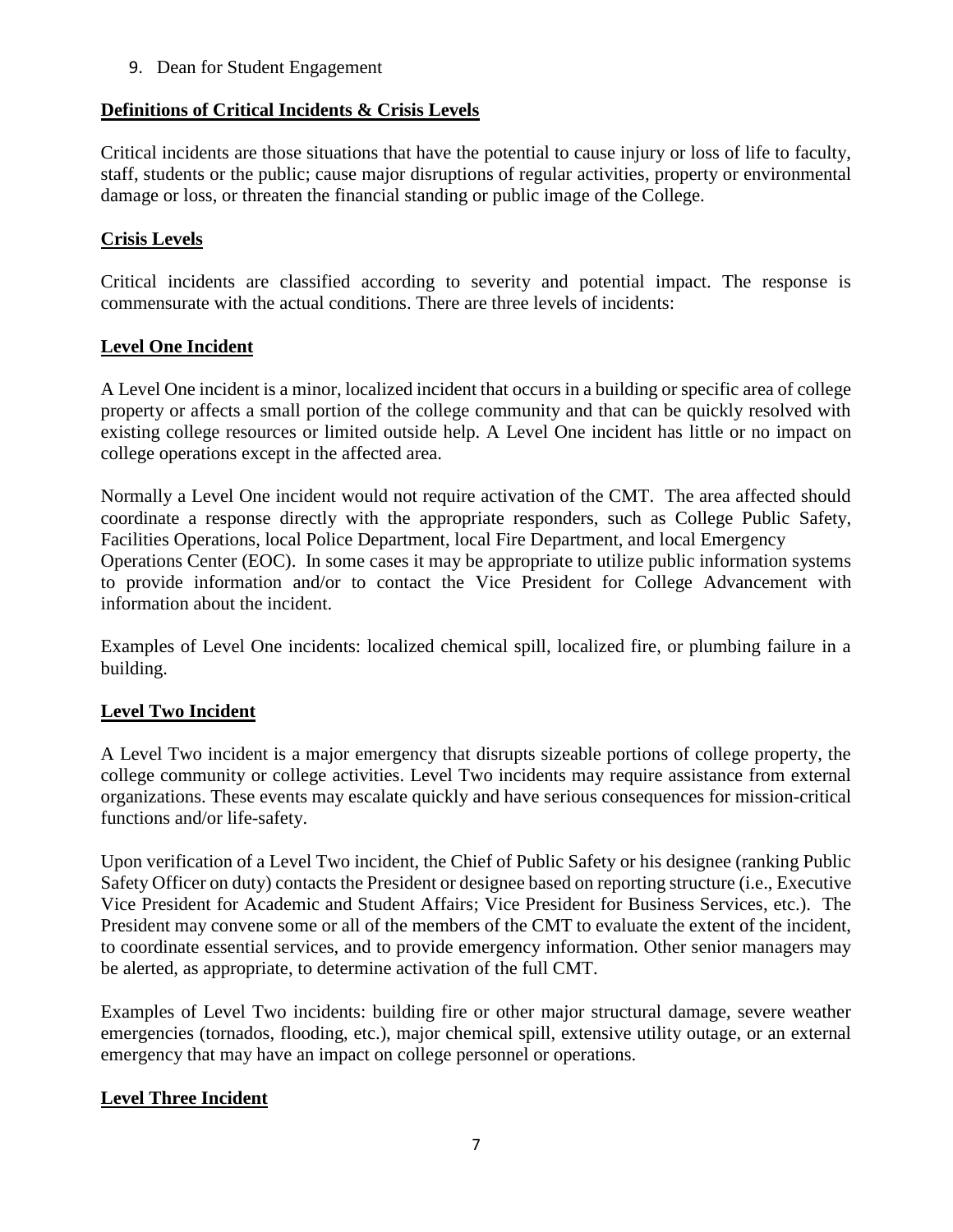9. Dean for Student Engagement

#### **Definitions of Critical Incidents & Crisis Levels**

Critical incidents are those situations that have the potential to cause injury or loss of life to faculty, staff, students or the public; cause major disruptions of regular activities, property or environmental damage or loss, or threaten the financial standing or public image of the College.

#### **Crisis Levels**

Critical incidents are classified according to severity and potential impact. The response is commensurate with the actual conditions. There are three levels of incidents:

#### **Level One Incident**

A Level One incident is a minor, localized incident that occurs in a building or specific area of college property or affects a small portion of the college community and that can be quickly resolved with existing college resources or limited outside help. A Level One incident has little or no impact on college operations except in the affected area.

Normally a Level One incident would not require activation of the CMT. The area affected should coordinate a response directly with the appropriate responders, such as College Public Safety, Facilities Operations, local Police Department, local Fire Department, and local Emergency Operations Center (EOC). In some cases it may be appropriate to utilize public information systems to provide information and/or to contact the Vice President for College Advancement with information about the incident.

Examples of Level One incidents: localized chemical spill, localized fire, or plumbing failure in a building.

## **Level Two Incident**

A Level Two incident is a major emergency that disrupts sizeable portions of college property, the college community or college activities. Level Two incidents may require assistance from external organizations. These events may escalate quickly and have serious consequences for mission-critical functions and/or life-safety.

Upon verification of a Level Two incident, the Chief of Public Safety or his designee (ranking Public Safety Officer on duty) contacts the President or designee based on reporting structure (i.e., Executive Vice President for Academic and Student Affairs; Vice President for Business Services, etc.). The President may convene some or all of the members of the CMT to evaluate the extent of the incident, to coordinate essential services, and to provide emergency information. Other senior managers may be alerted, as appropriate, to determine activation of the full CMT.

Examples of Level Two incidents: building fire or other major structural damage, severe weather emergencies (tornados, flooding, etc.), major chemical spill, extensive utility outage, or an external emergency that may have an impact on college personnel or operations.

#### **Level Three Incident**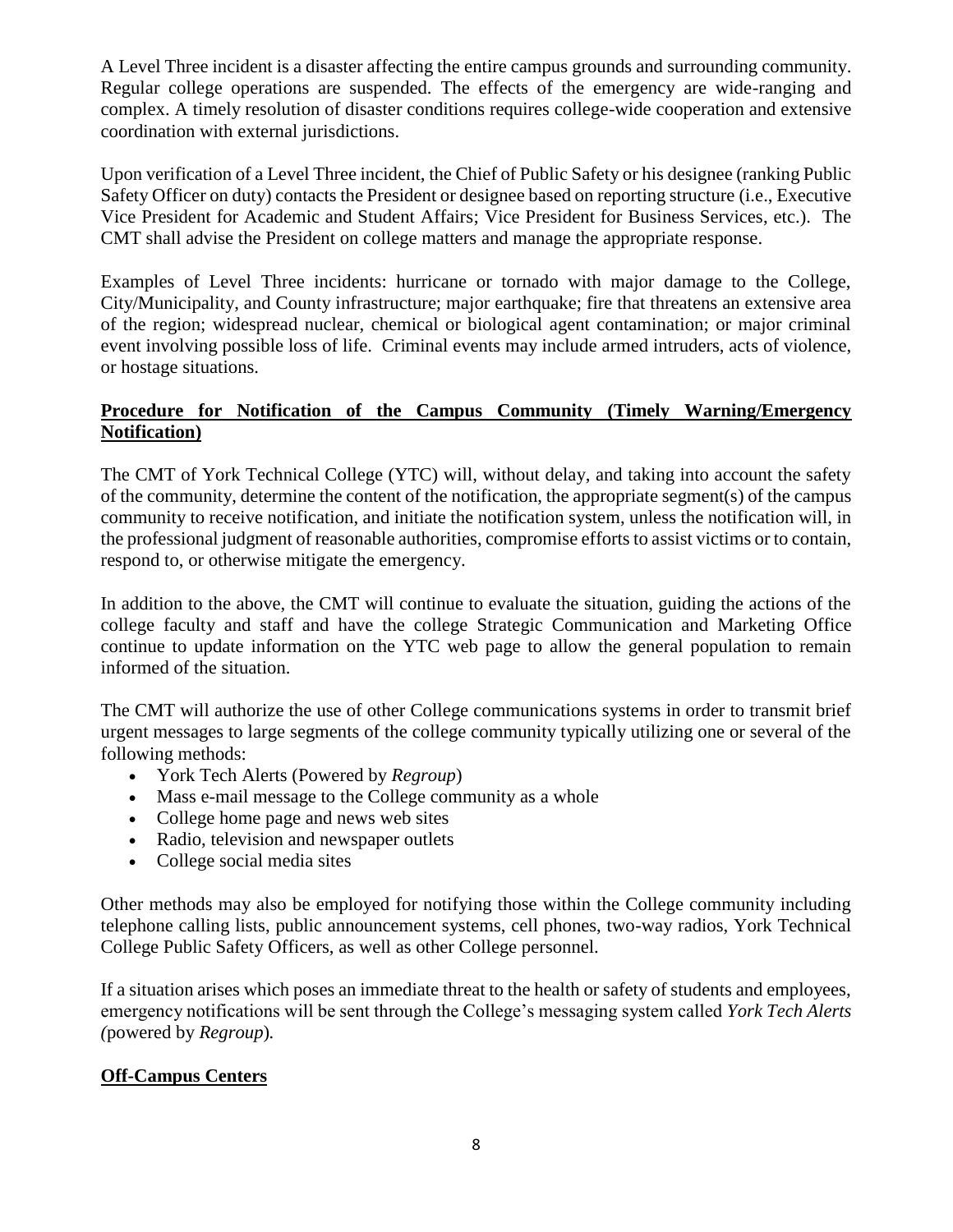A Level Three incident is a disaster affecting the entire campus grounds and surrounding community. Regular college operations are suspended. The effects of the emergency are wide-ranging and complex. A timely resolution of disaster conditions requires college-wide cooperation and extensive coordination with external jurisdictions.

Upon verification of a Level Three incident, the Chief of Public Safety or his designee (ranking Public Safety Officer on duty) contacts the President or designee based on reporting structure (i.e., Executive Vice President for Academic and Student Affairs; Vice President for Business Services, etc.). The CMT shall advise the President on college matters and manage the appropriate response.

Examples of Level Three incidents: hurricane or tornado with major damage to the College, City/Municipality, and County infrastructure; major earthquake; fire that threatens an extensive area of the region; widespread nuclear, chemical or biological agent contamination; or major criminal event involving possible loss of life. Criminal events may include armed intruders, acts of violence, or hostage situations.

#### **Procedure for Notification of the Campus Community (Timely Warning/Emergency Notification)**

The CMT of York Technical College (YTC) will, without delay, and taking into account the safety of the community, determine the content of the notification, the appropriate segment(s) of the campus community to receive notification, and initiate the notification system, unless the notification will, in the professional judgment of reasonable authorities, compromise efforts to assist victims or to contain, respond to, or otherwise mitigate the emergency.

In addition to the above, the CMT will continue to evaluate the situation, guiding the actions of the college faculty and staff and have the college Strategic Communication and Marketing Office continue to update information on the YTC web page to allow the general population to remain informed of the situation.

The CMT will authorize the use of other College communications systems in order to transmit brief urgent messages to large segments of the college community typically utilizing one or several of the following methods:

- York Tech Alerts (Powered by *Regroup*)
- Mass e-mail message to the College community as a whole
- College home page and news web sites
- Radio, television and newspaper outlets
- College social media sites

Other methods may also be employed for notifying those within the College community including telephone calling lists, public announcement systems, cell phones, two-way radios, York Technical College Public Safety Officers, as well as other College personnel.

If a situation arises which poses an immediate threat to the health or safety of students and employees, emergency notifications will be sent through the College's messaging system called *York Tech Alerts (*powered by *Regroup*)*.*

#### **Off-Campus Centers**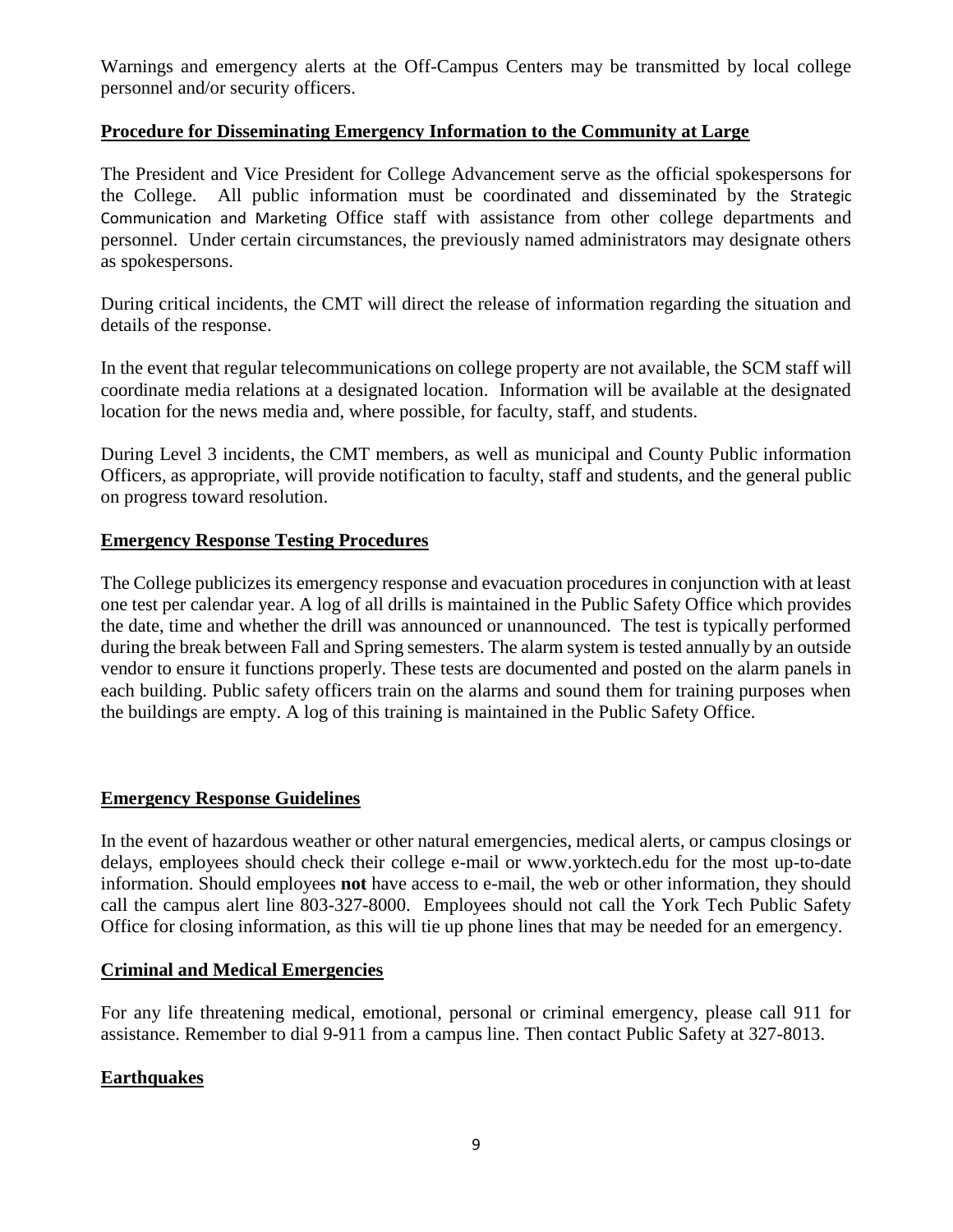Warnings and emergency alerts at the Off-Campus Centers may be transmitted by local college personnel and/or security officers.

#### **Procedure for Disseminating Emergency Information to the Community at Large**

The President and Vice President for College Advancement serve as the official spokespersons for the College. All public information must be coordinated and disseminated by the Strategic Communication and Marketing Office staff with assistance from other college departments and personnel. Under certain circumstances, the previously named administrators may designate others as spokespersons.

During critical incidents, the CMT will direct the release of information regarding the situation and details of the response.

In the event that regular telecommunications on college property are not available, the SCM staff will coordinate media relations at a designated location. Information will be available at the designated location for the news media and, where possible, for faculty, staff, and students.

During Level 3 incidents, the CMT members, as well as municipal and County Public information Officers, as appropriate, will provide notification to faculty, staff and students, and the general public on progress toward resolution.

#### **Emergency Response Testing Procedures**

The College publicizes its emergency response and evacuation procedures in conjunction with at least one test per calendar year. A log of all drills is maintained in the Public Safety Office which provides the date, time and whether the drill was announced or unannounced. The test is typically performed during the break between Fall and Spring semesters. The alarm system is tested annually by an outside vendor to ensure it functions properly. These tests are documented and posted on the alarm panels in each building. Public safety officers train on the alarms and sound them for training purposes when the buildings are empty. A log of this training is maintained in the Public Safety Office.

#### **Emergency Response Guidelines**

In the event of hazardous weather or other natural emergencies, medical alerts, or campus closings or delays, employees should check their college e-mail or www.yorktech.edu for the most up-to-date information. Should employees **not** have access to e-mail, the web or other information, they should call the campus alert line 803-327-8000.Employees should not call the York Tech Public Safety Office for closing information, as this will tie up phone lines that may be needed for an emergency.

#### **Criminal and Medical Emergencies**

For any life threatening medical, emotional, personal or criminal emergency, please call 911 for assistance. Remember to dial 9-911 from a campus line. Then contact Public Safety at 327-8013.

#### **Earthquakes**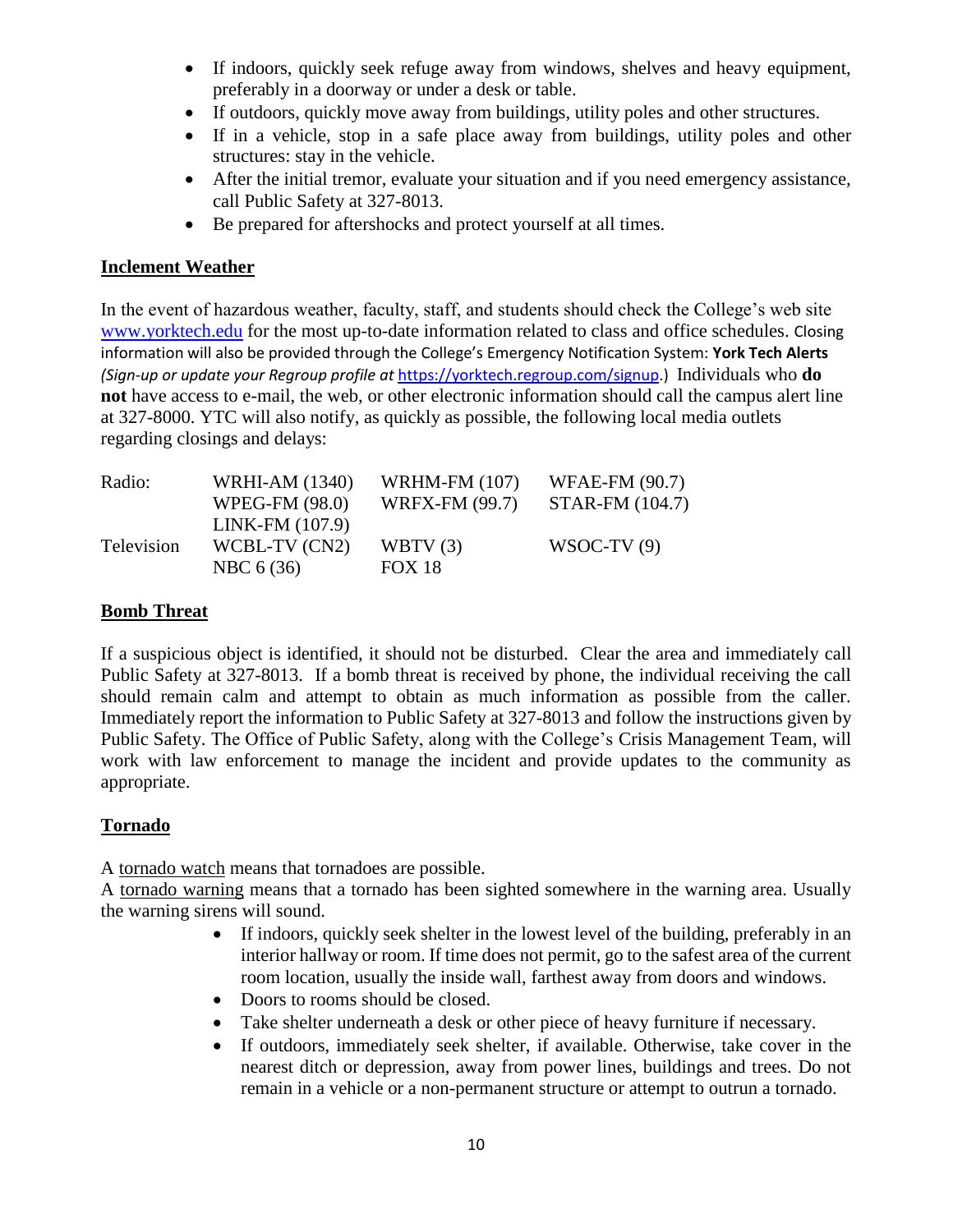- If indoors, quickly seek refuge away from windows, shelves and heavy equipment, preferably in a doorway or under a desk or table.
- If outdoors, quickly move away from buildings, utility poles and other structures.
- If in a vehicle, stop in a safe place away from buildings, utility poles and other structures: stay in the vehicle.
- After the initial tremor, evaluate your situation and if you need emergency assistance, call Public Safety at 327-8013.
- Be prepared for aftershocks and protect yourself at all times.

#### **Inclement Weather**

In the event of hazardous weather, faculty, staff, and students should check the College's web site [www.yorktech.edu](http://www.yorktech.edu/) for the most up-to-date information related to class and office schedules. Closing information will also be provided through the College's Emergency Notification System: **York Tech Alerts** *(Sign-up or update your Regroup profile at* [https://yorktech.regroup.com/signup.](https://yorktech.regroup.com/signup)) Individuals who **do not** have access to e-mail, the web, or other electronic information should call the campus alert line at 327-8000. YTC will also notify, as quickly as possible, the following local media outlets regarding closings and delays:

| Radio:     | <b>WRHI-AM (1340)</b> | <b>WRHM-FM (107)</b>  | <b>WFAE-FM (90.7)</b> |
|------------|-----------------------|-----------------------|-----------------------|
|            | <b>WPEG-FM (98.0)</b> | <b>WRFX-FM (99.7)</b> | STAR-FM (104.7)       |
|            | $LINK-FM(107.9)$      |                       |                       |
| Television | WCBL-TV (CN2)         | WBTV $(3)$            | $WSOC-TV(9)$          |
|            | NBC 6 (36)            | <b>FOX 18</b>         |                       |

#### **Bomb Threat**

If a suspicious object is identified, it should not be disturbed. Clear the area and immediately call Public Safety at 327-8013. If a bomb threat is received by phone, the individual receiving the call should remain calm and attempt to obtain as much information as possible from the caller. Immediately report the information to Public Safety at 327-8013 and follow the instructions given by Public Safety. The Office of Public Safety, along with the College's Crisis Management Team, will work with law enforcement to manage the incident and provide updates to the community as appropriate.

#### **Tornado**

A tornado watch means that tornadoes are possible.

A tornado warning means that a tornado has been sighted somewhere in the warning area. Usually the warning sirens will sound.

- If indoors, quickly seek shelter in the lowest level of the building, preferably in an interior hallway or room. If time does not permit, go to the safest area of the current room location, usually the inside wall, farthest away from doors and windows.
- Doors to rooms should be closed.
- Take shelter underneath a desk or other piece of heavy furniture if necessary.
- If outdoors, immediately seek shelter, if available. Otherwise, take cover in the nearest ditch or depression, away from power lines, buildings and trees. Do not remain in a vehicle or a non-permanent structure or attempt to outrun a tornado.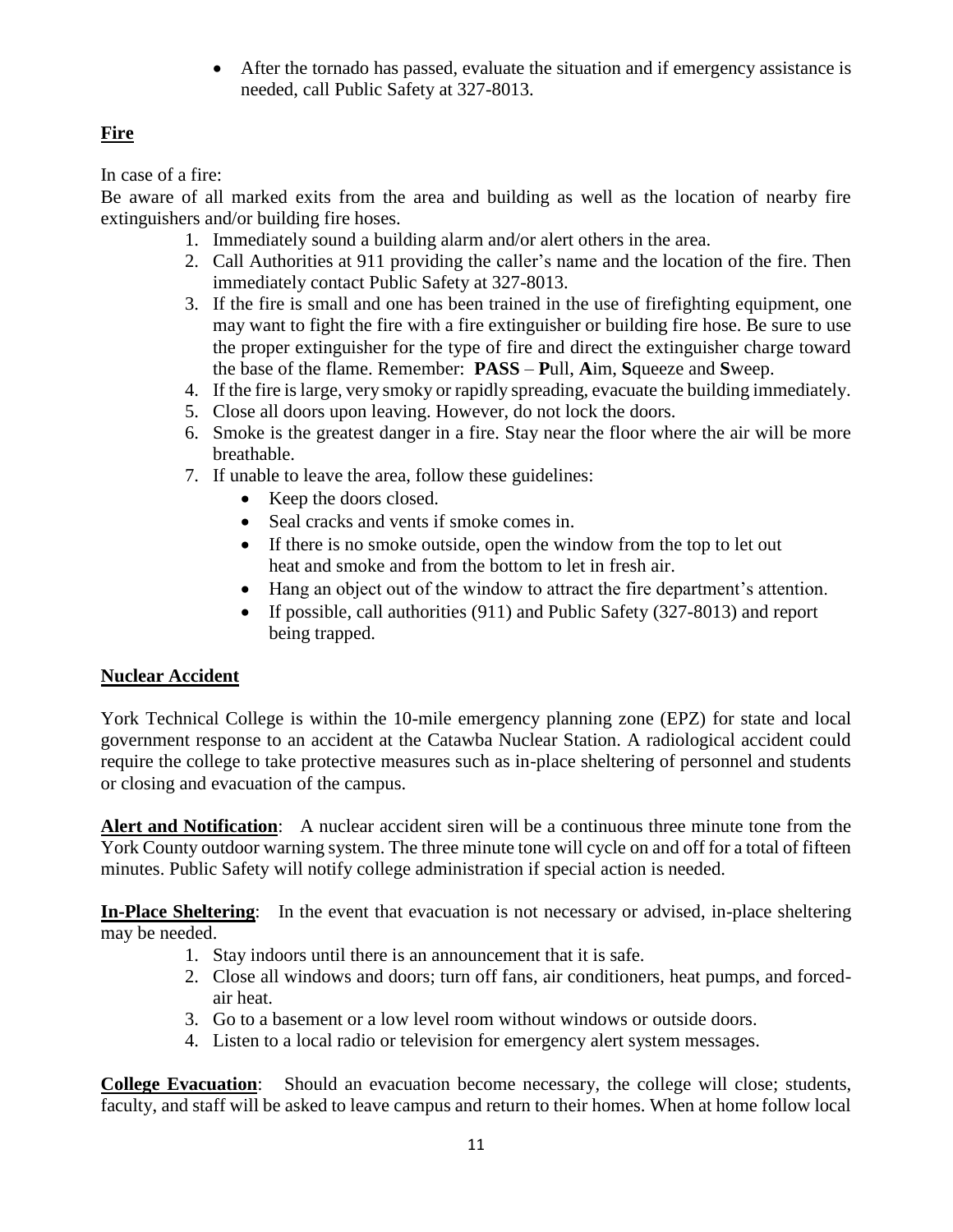After the tornado has passed, evaluate the situation and if emergency assistance is needed, call Public Safety at 327-8013.

## **Fire**

In case of a fire:

Be aware of all marked exits from the area and building as well as the location of nearby fire extinguishers and/or building fire hoses.

- 1. Immediately sound a building alarm and/or alert others in the area.
- 2. Call Authorities at 911 providing the caller's name and the location of the fire. Then immediately contact Public Safety at 327-8013.
- 3. If the fire is small and one has been trained in the use of firefighting equipment, one may want to fight the fire with a fire extinguisher or building fire hose. Be sure to use the proper extinguisher for the type of fire and direct the extinguisher charge toward the base of the flame. Remember: **PASS** – **P**ull, **A**im, **S**queeze and **S**weep.
- 4. If the fire is large, very smoky or rapidly spreading, evacuate the building immediately.
- 5. Close all doors upon leaving. However, do not lock the doors.
- 6. Smoke is the greatest danger in a fire. Stay near the floor where the air will be more breathable.
- 7. If unable to leave the area, follow these guidelines:
	- Keep the doors closed.
	- Seal cracks and vents if smoke comes in.
	- If there is no smoke outside, open the window from the top to let out heat and smoke and from the bottom to let in fresh air.
	- Hang an object out of the window to attract the fire department's attention.
	- If possible, call authorities (911) and Public Safety (327-8013) and report being trapped.

## **Nuclear Accident**

York Technical College is within the 10-mile emergency planning zone (EPZ) for state and local government response to an accident at the Catawba Nuclear Station. A radiological accident could require the college to take protective measures such as in-place sheltering of personnel and students or closing and evacuation of the campus.

**Alert and Notification**:A nuclear accident siren will be a continuous three minute tone from the York County outdoor warning system. The three minute tone will cycle on and off for a total of fifteen minutes. Public Safety will notify college administration if special action is needed.

**In-Place Sheltering**: In the event that evacuation is not necessary or advised, in-place sheltering may be needed.

- 1. Stay indoors until there is an announcement that it is safe.
- 2. Close all windows and doors; turn off fans, air conditioners, heat pumps, and forcedair heat.
- 3. Go to a basement or a low level room without windows or outside doors.
- 4. Listen to a local radio or television for emergency alert system messages.

**College Evacuation**:Should an evacuation become necessary, the college will close; students, faculty, and staff will be asked to leave campus and return to their homes. When at home follow local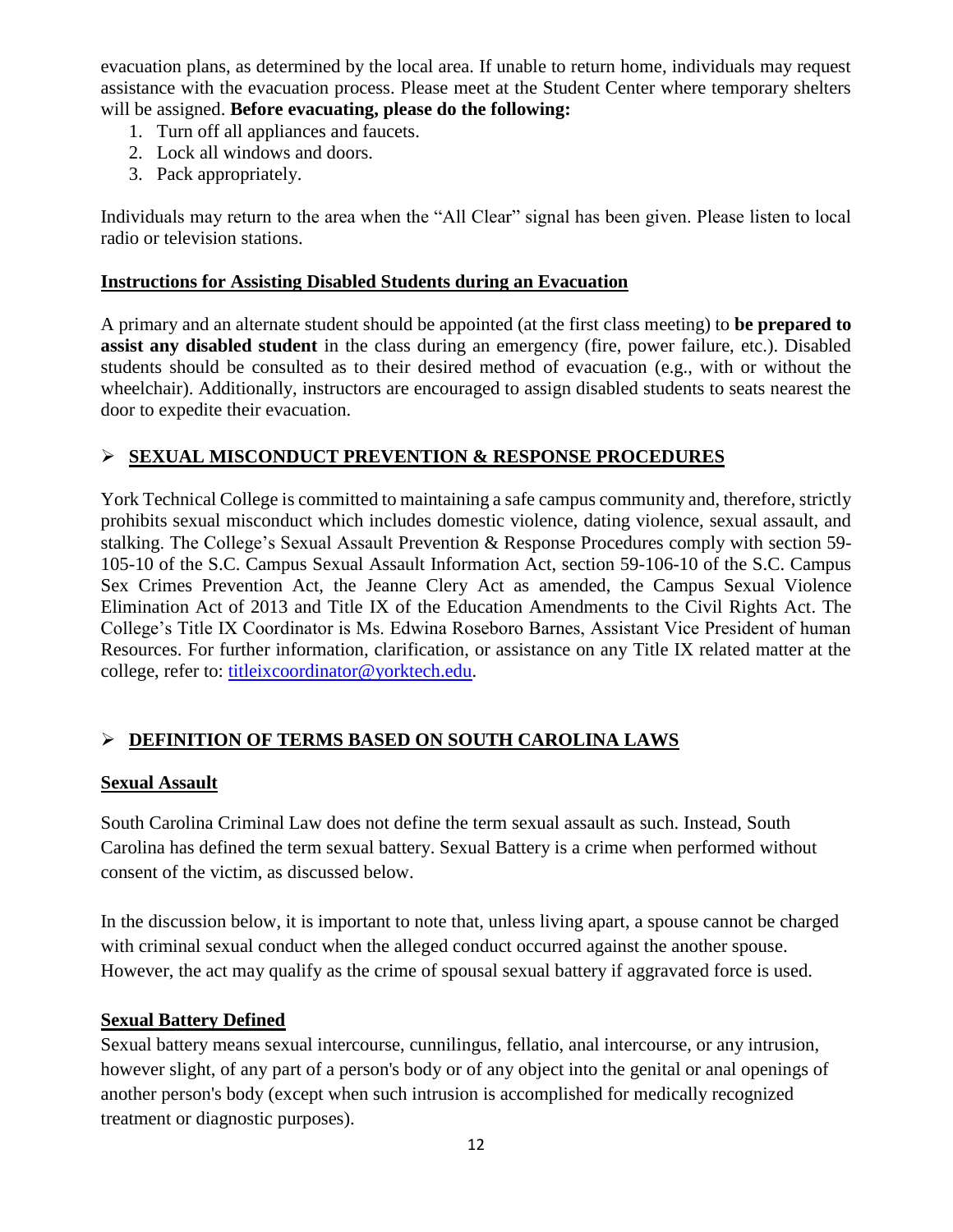evacuation plans, as determined by the local area. If unable to return home, individuals may request assistance with the evacuation process. Please meet at the Student Center where temporary shelters will be assigned. **Before evacuating, please do the following:**

- 1. Turn off all appliances and faucets.
- 2. Lock all windows and doors.
- 3. Pack appropriately.

Individuals may return to the area when the "All Clear" signal has been given. Please listen to local radio or television stations.

#### **Instructions for Assisting Disabled Students during an Evacuation**

A primary and an alternate student should be appointed (at the first class meeting) to **be prepared to assist any disabled student** in the class during an emergency (fire, power failure, etc.). Disabled students should be consulted as to their desired method of evacuation (e.g., with or without the wheelchair). Additionally, instructors are encouraged to assign disabled students to seats nearest the door to expedite their evacuation.

#### **SEXUAL MISCONDUCT PREVENTION & RESPONSE PROCEDURES**

York Technical College is committed to maintaining a safe campus community and, therefore, strictly prohibits sexual misconduct which includes domestic violence, dating violence, sexual assault, and stalking. The College's Sexual Assault Prevention & Response Procedures comply with section 59- 105-10 of the S.C. Campus Sexual Assault Information Act, section 59-106-10 of the S.C. Campus Sex Crimes Prevention Act, the Jeanne Clery Act as amended, the Campus Sexual Violence Elimination Act of 2013 and Title IX of the Education Amendments to the Civil Rights Act. The College's Title IX Coordinator is Ms. Edwina Roseboro Barnes, Assistant Vice President of human Resources. For further information, clarification, or assistance on any Title IX related matter at the college, refer to: [titleixcoordinator@yorktech.edu.](mailto:titleixcoordinator@yorktech.edu)

## **DEFINITION OF TERMS BASED ON SOUTH CAROLINA LAWS**

#### **Sexual Assault**

South Carolina Criminal Law does not define the term sexual assault as such. Instead, South Carolina has defined the term sexual battery. Sexual Battery is a crime when performed without consent of the victim, as discussed below.

In the discussion below, it is important to note that, unless living apart, a spouse cannot be charged with criminal sexual conduct when the alleged conduct occurred against the another spouse. However, the act may qualify as the crime of spousal sexual battery if aggravated force is used.

#### **Sexual Battery Defined**

Sexual battery means sexual intercourse, cunnilingus, fellatio, anal intercourse, or any intrusion, however slight, of any part of a person's body or of any object into the genital or anal openings of another person's body (except when such intrusion is accomplished for medically recognized treatment or diagnostic purposes).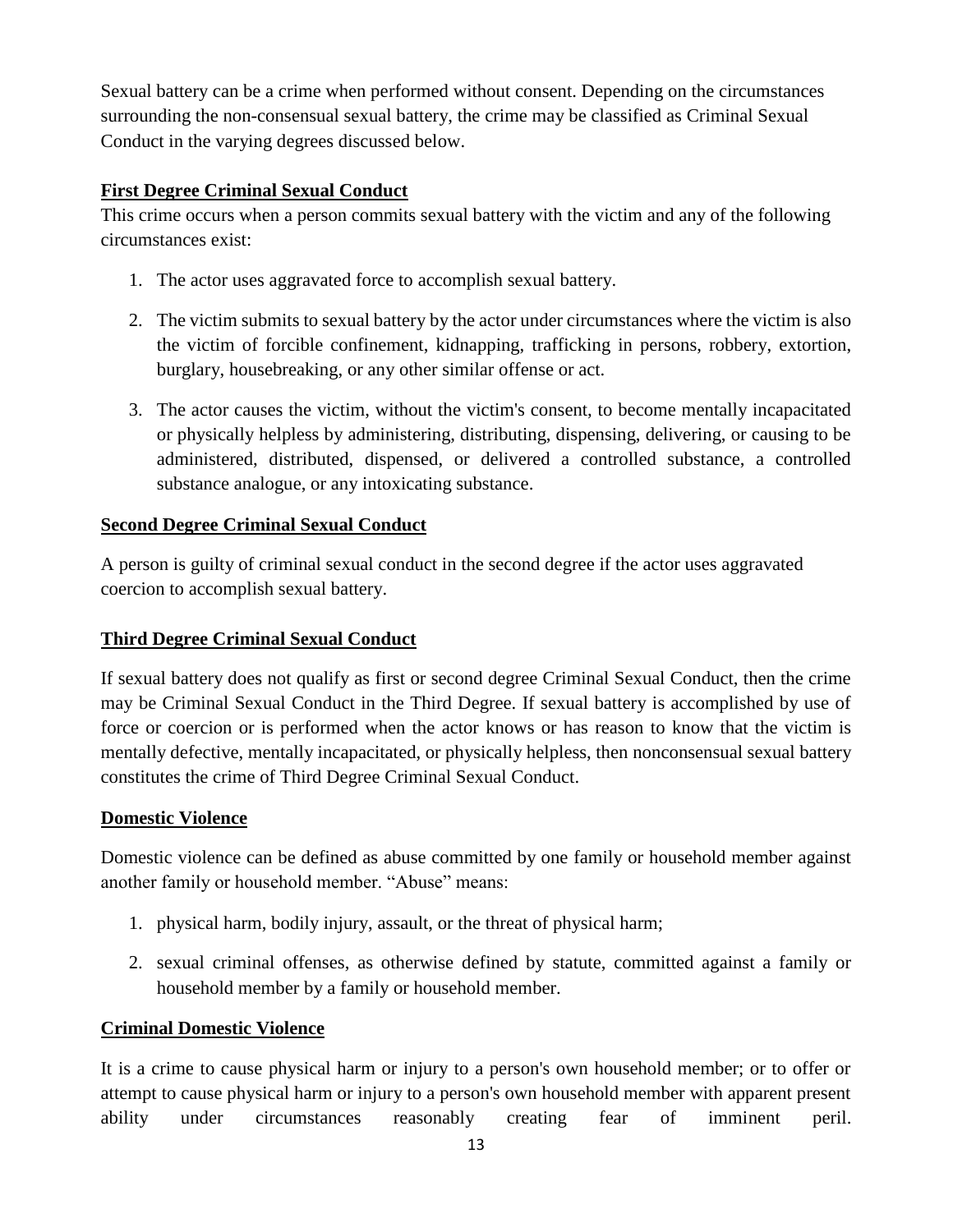Sexual battery can be a crime when performed without consent. Depending on the circumstances surrounding the non-consensual sexual battery, the crime may be classified as Criminal Sexual Conduct in the varying degrees discussed below.

#### **First Degree Criminal Sexual Conduct**

This crime occurs when a person commits sexual battery with the victim and any of the following circumstances exist:

- 1. The actor uses aggravated force to accomplish sexual battery.
- 2. The victim submits to sexual battery by the actor under circumstances where the victim is also the victim of forcible confinement, kidnapping, trafficking in persons, robbery, extortion, burglary, housebreaking, or any other similar offense or act.
- 3. The actor causes the victim, without the victim's consent, to become mentally incapacitated or physically helpless by administering, distributing, dispensing, delivering, or causing to be administered, distributed, dispensed, or delivered a controlled substance, a controlled substance analogue, or any intoxicating substance.

### **Second Degree Criminal Sexual Conduct**

A person is guilty of criminal sexual conduct in the second degree if the actor uses aggravated coercion to accomplish sexual battery.

#### **Third Degree Criminal Sexual Conduct**

If sexual battery does not qualify as first or second degree Criminal Sexual Conduct, then the crime may be Criminal Sexual Conduct in the Third Degree. If sexual battery is accomplished by use of force or coercion or is performed when the actor knows or has reason to know that the victim is mentally defective, mentally incapacitated, or physically helpless, then nonconsensual sexual battery constitutes the crime of Third Degree Criminal Sexual Conduct.

#### **Domestic Violence**

Domestic violence can be defined as abuse committed by one family or household member against another family or household member. "Abuse" means:

- 1. physical harm, bodily injury, assault, or the threat of physical harm;
- 2. sexual criminal offenses, as otherwise defined by statute, committed against a family or household member by a family or household member.

#### **Criminal Domestic Violence**

It is a crime to cause physical harm or injury to a person's own household member; or to offer or attempt to cause physical harm or injury to a person's own household member with apparent present ability under circumstances reasonably creating fear of imminent peril.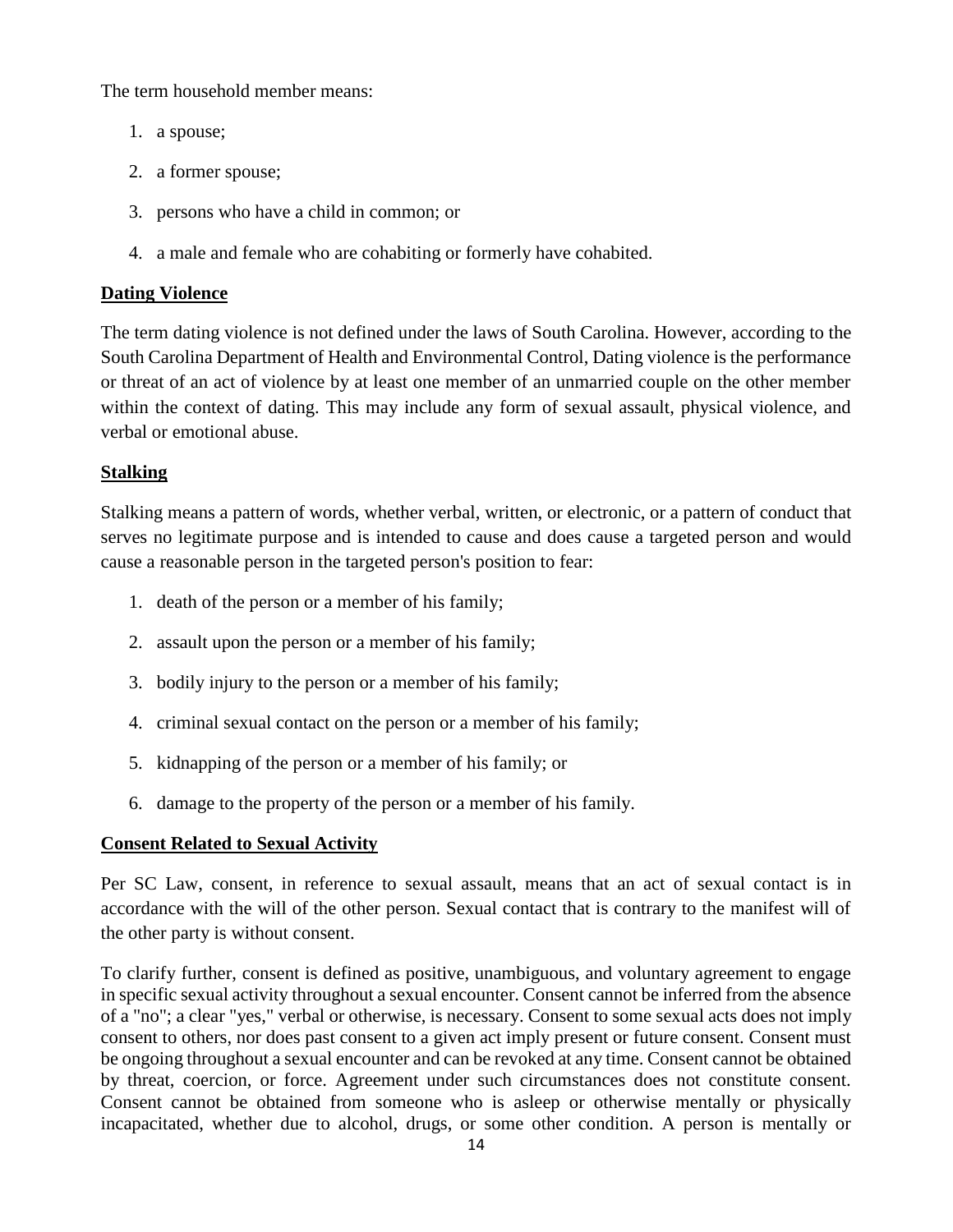The term household member means:

- 1. a spouse;
- 2. a former spouse;
- 3. persons who have a child in common; or
- 4. a male and female who are cohabiting or formerly have cohabited.

#### **Dating Violence**

The term dating violence is not defined under the laws of South Carolina. However, according to the South Carolina Department of Health and Environmental Control, Dating violence is the performance or threat of an act of violence by at least one member of an unmarried couple on the other member within the context of dating. This may include any form of sexual assault, physical violence, and verbal or emotional abuse.

### **Stalking**

Stalking means a pattern of words, whether verbal, written, or electronic, or a pattern of conduct that serves no legitimate purpose and is intended to cause and does cause a targeted person and would cause a reasonable person in the targeted person's position to fear:

- 1. death of the person or a member of his family;
- 2. assault upon the person or a member of his family;
- 3. bodily injury to the person or a member of his family;
- 4. criminal sexual contact on the person or a member of his family;
- 5. kidnapping of the person or a member of his family; or
- 6. damage to the property of the person or a member of his family.

## **Consent Related to Sexual Activity**

Per SC Law, consent, in reference to sexual assault, means that an act of sexual contact is in accordance with the will of the other person. Sexual contact that is contrary to the manifest will of the other party is without consent.

To clarify further, consent is defined as positive, unambiguous, and voluntary agreement to engage in specific sexual activity throughout a sexual encounter. Consent cannot be inferred from the absence of a "no"; a clear "yes," verbal or otherwise, is necessary. Consent to some sexual acts does not imply consent to others, nor does past consent to a given act imply present or future consent. Consent must be ongoing throughout a sexual encounter and can be revoked at any time. Consent cannot be obtained by threat, coercion, or force. Agreement under such circumstances does not constitute consent. Consent cannot be obtained from someone who is asleep or otherwise mentally or physically incapacitated, whether due to alcohol, drugs, or some other condition. A person is mentally or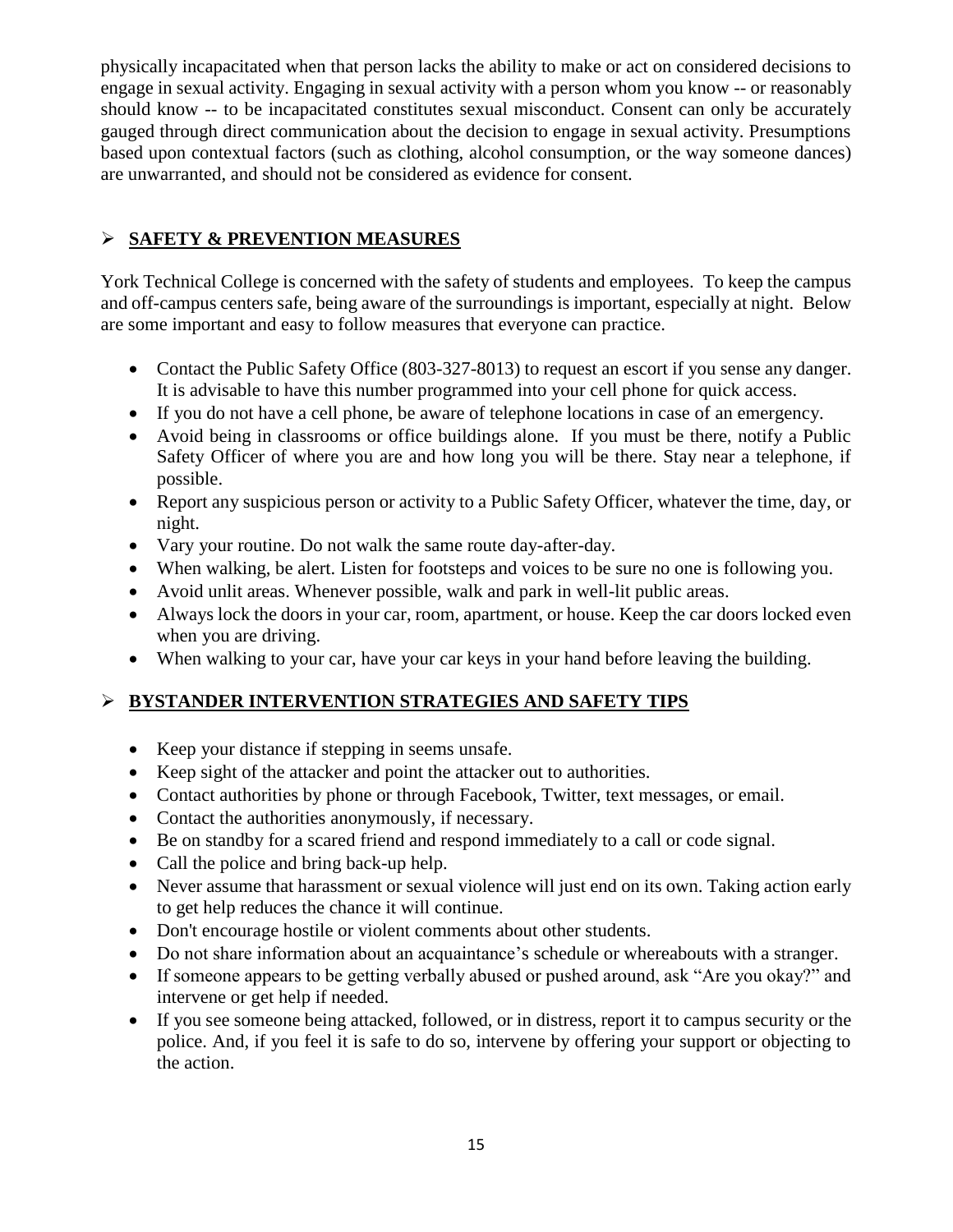physically incapacitated when that person lacks the ability to make or act on considered decisions to engage in sexual activity. Engaging in sexual activity with a person whom you know -- or reasonably should know -- to be incapacitated constitutes sexual misconduct. Consent can only be accurately gauged through direct communication about the decision to engage in sexual activity. Presumptions based upon contextual factors (such as clothing, alcohol consumption, or the way someone dances) are unwarranted, and should not be considered as evidence for consent.

## **SAFETY & PREVENTION MEASURES**

York Technical College is concerned with the safety of students and employees. To keep the campus and off-campus centers safe, being aware of the surroundings is important, especially at night. Below are some important and easy to follow measures that everyone can practice.

- Contact the Public Safety Office (803-327-8013) to request an escort if you sense any danger. It is advisable to have this number programmed into your cell phone for quick access.
- If you do not have a cell phone, be aware of telephone locations in case of an emergency.
- Avoid being in classrooms or office buildings alone. If you must be there, notify a Public Safety Officer of where you are and how long you will be there. Stay near a telephone, if possible.
- Report any suspicious person or activity to a Public Safety Officer, whatever the time, day, or night.
- Vary your routine. Do not walk the same route day-after-day.
- When walking, be alert. Listen for footsteps and voices to be sure no one is following you.
- Avoid unlit areas. Whenever possible, walk and park in well-lit public areas.
- Always lock the doors in your car, room, apartment, or house. Keep the car doors locked even when you are driving.
- When walking to your car, have your car keys in your hand before leaving the building.

## **BYSTANDER INTERVENTION STRATEGIES AND SAFETY TIPS**

- Keep your distance if stepping in seems unsafe.
- Keep sight of the attacker and point the attacker out to authorities.
- Contact authorities by phone or through Facebook, Twitter, text messages, or email.
- Contact the authorities anonymously, if necessary.
- Be on standby for a scared friend and respond immediately to a call or code signal.
- Call the police and bring back-up help.
- Never assume that harassment or sexual violence will just end on its own. Taking action early to get help reduces the chance it will continue.
- Don't encourage hostile or violent comments about other students.
- Do not share information about an acquaintance's schedule or whereabouts with a stranger.
- If someone appears to be getting verbally abused or pushed around, ask "Are you okay?" and intervene or get help if needed.
- If you see someone being attacked, followed, or in distress, report it to campus security or the police. And, if you feel it is safe to do so, intervene by offering your support or objecting to the action.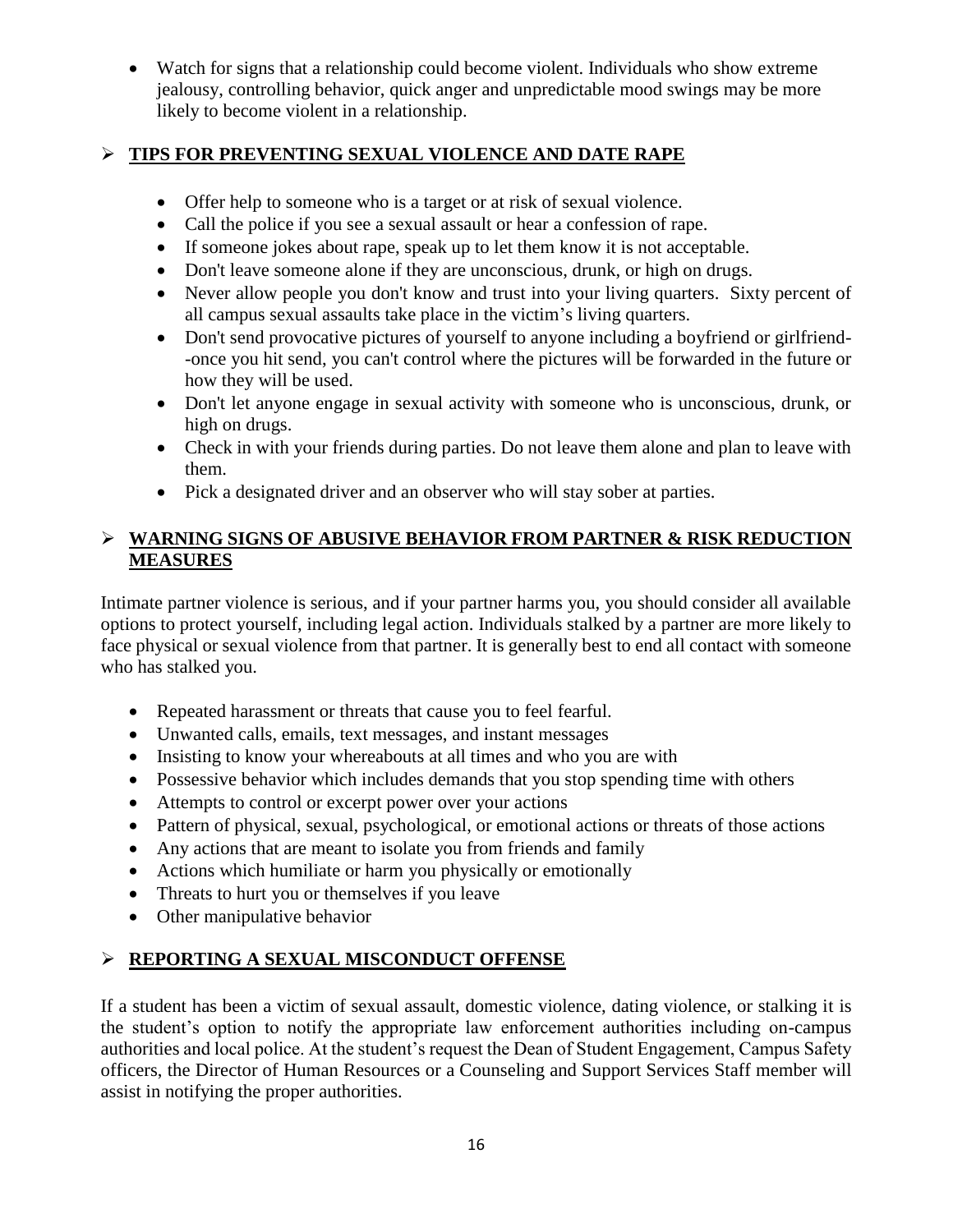Watch for signs that a relationship could become violent. Individuals who show extreme jealousy, controlling behavior, quick anger and unpredictable mood swings may be more likely to become violent in a relationship.

### **TIPS FOR PREVENTING SEXUAL VIOLENCE AND DATE RAPE**

- Offer help to someone who is a target or at risk of sexual violence.
- Call the police if you see a sexual assault or hear a confession of rape.
- If someone jokes about rape, speak up to let them know it is not acceptable.
- Don't leave someone alone if they are unconscious, drunk, or high on drugs.
- Never allow people you don't know and trust into your living quarters. Sixty percent of all campus sexual assaults take place in the victim's living quarters.
- Don't send provocative pictures of yourself to anyone including a boyfriend or girlfriend--once you hit send, you can't control where the pictures will be forwarded in the future or how they will be used.
- Don't let anyone engage in sexual activity with someone who is unconscious, drunk, or high on drugs.
- Check in with your friends during parties. Do not leave them alone and plan to leave with them.
- Pick a designated driver and an observer who will stay sober at parties.

### **WARNING SIGNS OF ABUSIVE BEHAVIOR FROM PARTNER & RISK REDUCTION MEASURES**

Intimate partner violence is serious, and if your partner harms you, you should consider all available options to protect yourself, including legal action. Individuals stalked by a partner are more likely to face physical or sexual violence from that partner. It is generally best to end all contact with someone who has stalked you.

- Repeated harassment or threats that cause you to feel fearful.
- Unwanted calls, emails, text messages, and instant messages
- Insisting to know your whereabouts at all times and who you are with
- Possessive behavior which includes demands that you stop spending time with others
- Attempts to control or excerpt power over your actions
- Pattern of physical, sexual, psychological, or emotional actions or threats of those actions
- Any actions that are meant to isolate you from friends and family
- Actions which humiliate or harm you physically or emotionally
- Threats to hurt you or themselves if you leave
- Other manipulative behavior

## **REPORTING A SEXUAL MISCONDUCT OFFENSE**

If a student has been a victim of sexual assault, domestic violence, dating violence, or stalking it is the student's option to notify the appropriate law enforcement authorities including on-campus authorities and local police. At the student's request the Dean of Student Engagement, Campus Safety officers, the Director of Human Resources or a Counseling and Support Services Staff member will assist in notifying the proper authorities.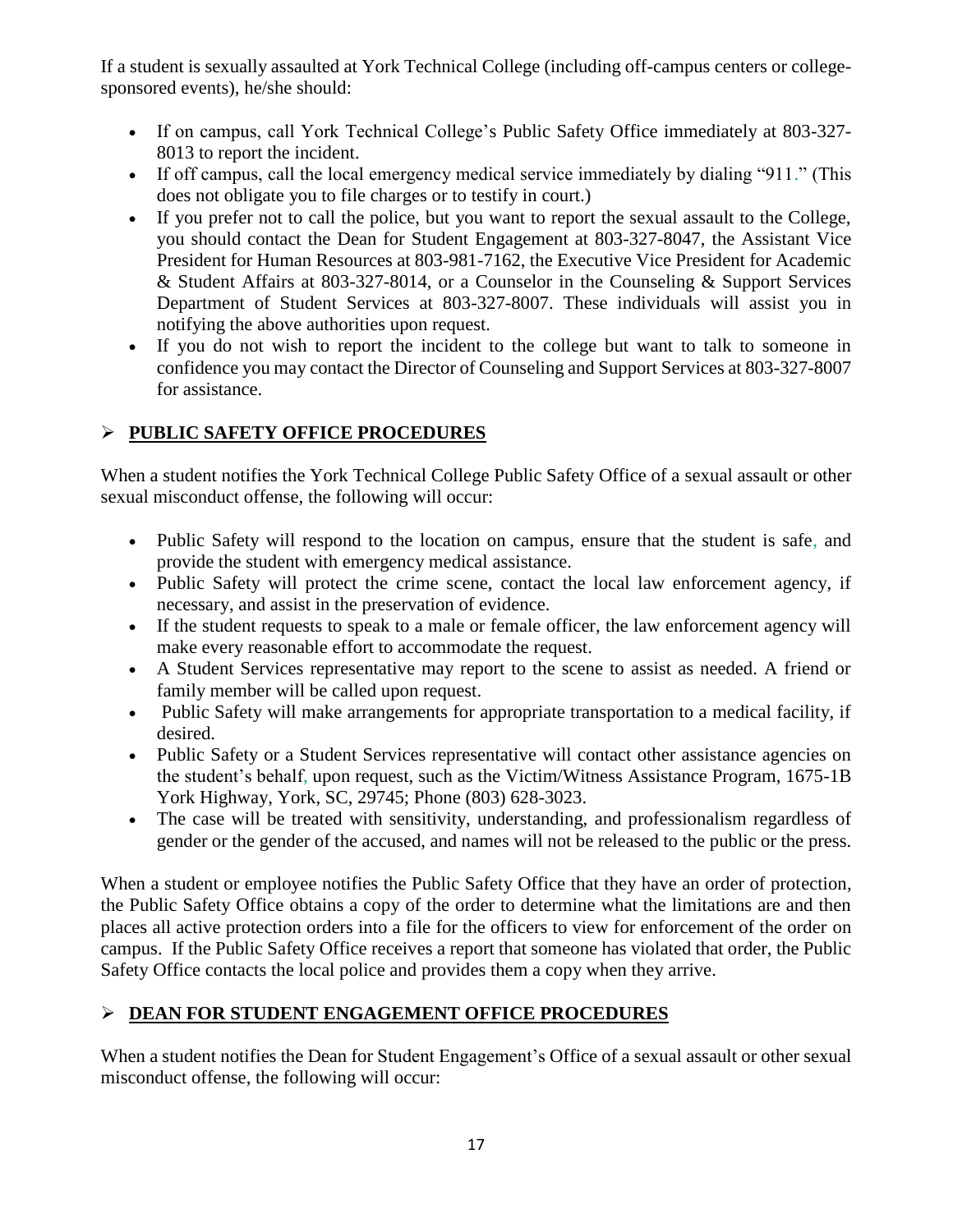If a student is sexually assaulted at York Technical College (including off-campus centers or collegesponsored events), he/she should:

- If on campus, call York Technical College's Public Safety Office immediately at 803-327- 8013 to report the incident.
- If off campus, call the local emergency medical service immediately by dialing "911." (This does not obligate you to file charges or to testify in court.)
- If you prefer not to call the police, but you want to report the sexual assault to the College, you should contact the Dean for Student Engagement at 803-327-8047, the Assistant Vice President for Human Resources at 803-981-7162, the Executive Vice President for Academic & Student Affairs at 803-327-8014, or a Counselor in the Counseling & Support Services Department of Student Services at 803-327-8007. These individuals will assist you in notifying the above authorities upon request.
- If you do not wish to report the incident to the college but want to talk to someone in confidence you may contact the Director of Counseling and Support Services at 803-327-8007 for assistance.

# **PUBLIC SAFETY OFFICE PROCEDURES**

When a student notifies the York Technical College Public Safety Office of a sexual assault or other sexual misconduct offense, the following will occur:

- Public Safety will respond to the location on campus, ensure that the student is safe, and provide the student with emergency medical assistance.
- Public Safety will protect the crime scene, contact the local law enforcement agency, if necessary, and assist in the preservation of evidence.
- If the student requests to speak to a male or female officer, the law enforcement agency will make every reasonable effort to accommodate the request.
- A Student Services representative may report to the scene to assist as needed. A friend or family member will be called upon request.
- Public Safety will make arrangements for appropriate transportation to a medical facility, if desired.
- Public Safety or a Student Services representative will contact other assistance agencies on the student's behalf, upon request, such as the Victim/Witness Assistance Program, 1675-1B York Highway, York, SC, 29745; Phone (803) 628-3023.
- The case will be treated with sensitivity, understanding, and professionalism regardless of gender or the gender of the accused, and names will not be released to the public or the press.

When a student or employee notifies the Public Safety Office that they have an order of protection, the Public Safety Office obtains a copy of the order to determine what the limitations are and then places all active protection orders into a file for the officers to view for enforcement of the order on campus. If the Public Safety Office receives a report that someone has violated that order, the Public Safety Office contacts the local police and provides them a copy when they arrive.

# **DEAN FOR STUDENT ENGAGEMENT OFFICE PROCEDURES**

When a student notifies the Dean for Student Engagement's Office of a sexual assault or other sexual misconduct offense, the following will occur: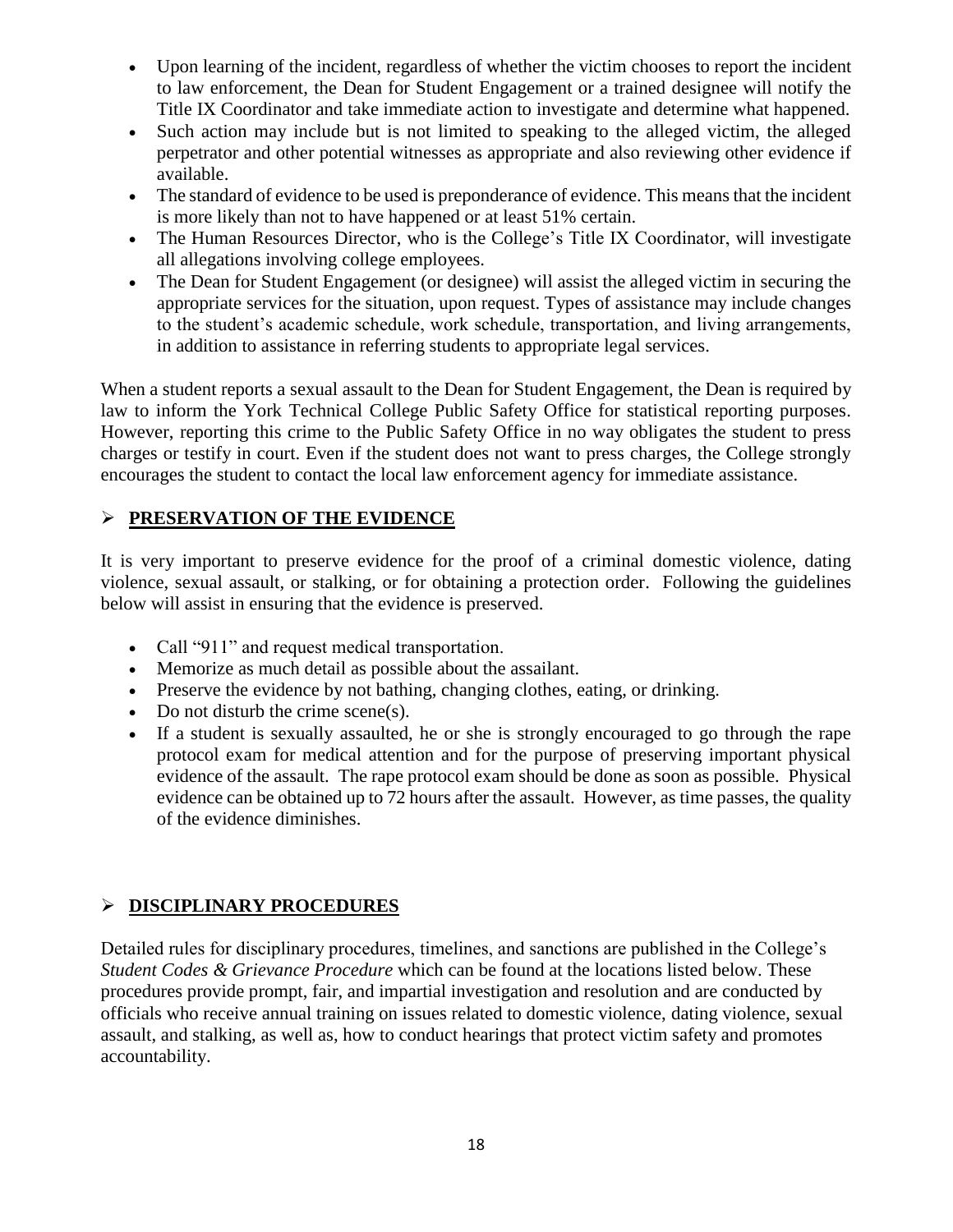- Upon learning of the incident, regardless of whether the victim chooses to report the incident to law enforcement, the Dean for Student Engagement or a trained designee will notify the Title IX Coordinator and take immediate action to investigate and determine what happened.
- Such action may include but is not limited to speaking to the alleged victim, the alleged perpetrator and other potential witnesses as appropriate and also reviewing other evidence if available.
- The standard of evidence to be used is preponderance of evidence. This means that the incident is more likely than not to have happened or at least 51% certain.
- The Human Resources Director, who is the College's Title IX Coordinator, will investigate all allegations involving college employees.
- The Dean for Student Engagement (or designee) will assist the alleged victim in securing the appropriate services for the situation, upon request. Types of assistance may include changes to the student's academic schedule, work schedule, transportation, and living arrangements, in addition to assistance in referring students to appropriate legal services.

When a student reports a sexual assault to the Dean for Student Engagement, the Dean is required by law to inform the York Technical College Public Safety Office for statistical reporting purposes. However, reporting this crime to the Public Safety Office in no way obligates the student to press charges or testify in court. Even if the student does not want to press charges, the College strongly encourages the student to contact the local law enforcement agency for immediate assistance.

## **PRESERVATION OF THE EVIDENCE**

It is very important to preserve evidence for the proof of a criminal domestic violence, dating violence, sexual assault, or stalking, or for obtaining a protection order. Following the guidelines below will assist in ensuring that the evidence is preserved.

- Call "911" and request medical transportation.
- Memorize as much detail as possible about the assailant.
- Preserve the evidence by not bathing, changing clothes, eating, or drinking.
- $\bullet$  Do not disturb the crime scene(s).
- If a student is sexually assaulted, he or she is strongly encouraged to go through the rape protocol exam for medical attention and for the purpose of preserving important physical evidence of the assault. The rape protocol exam should be done as soon as possible. Physical evidence can be obtained up to 72 hours after the assault. However, as time passes, the quality of the evidence diminishes.

## **DISCIPLINARY PROCEDURES**

Detailed rules for disciplinary procedures, timelines, and sanctions are published in the College's *Student Codes & Grievance Procedure* which can be found at the locations listed below. These procedures provide prompt, fair, and impartial investigation and resolution and are conducted by officials who receive annual training on issues related to domestic violence, dating violence, sexual assault, and stalking, as well as, how to conduct hearings that protect victim safety and promotes accountability.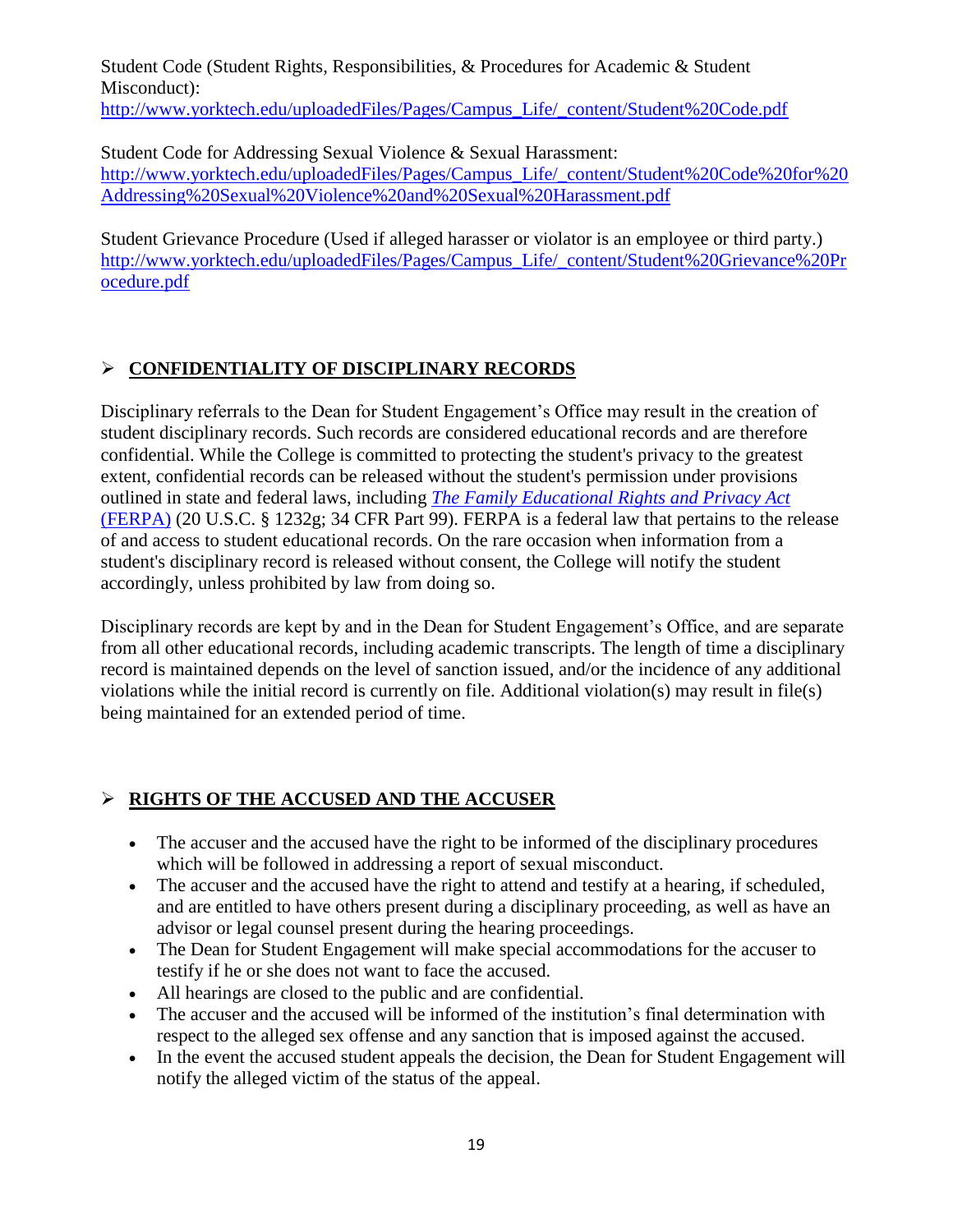Student Code (Student Rights, Responsibilities, & Procedures for Academic & Student Misconduct): [http://www.yorktech.edu/uploadedFiles/Pages/Campus\\_Life/\\_content/Student%20Code.pdf](http://www.yorktech.edu/uploadedFiles/Pages/Campus_Life/_content/Student%20Code.pdf)

Student Code for Addressing Sexual Violence & Sexual Harassment: [http://www.yorktech.edu/uploadedFiles/Pages/Campus\\_Life/\\_content/Student%20Code%20for%20](http://www.yorktech.edu/uploadedFiles/Pages/Campus_Life/_content/Student%20Code%20for%20Addressing%20Sexual%20Violence%20and%20Sexual%20Harassment.pdf) [Addressing%20Sexual%20Violence%20and%20Sexual%20Harassment.pdf](http://www.yorktech.edu/uploadedFiles/Pages/Campus_Life/_content/Student%20Code%20for%20Addressing%20Sexual%20Violence%20and%20Sexual%20Harassment.pdf)

Student Grievance Procedure (Used if alleged harasser or violator is an employee or third party.) [http://www.yorktech.edu/uploadedFiles/Pages/Campus\\_Life/\\_content/Student%20Grievance%20Pr](http://www.yorktech.edu/uploadedFiles/Pages/Campus_Life/_content/Student%20Grievance%20Procedure.pdf) [ocedure.pdf](http://www.yorktech.edu/uploadedFiles/Pages/Campus_Life/_content/Student%20Grievance%20Procedure.pdf)

## **CONFIDENTIALITY OF DISCIPLINARY RECORDS**

Disciplinary referrals to the Dean for Student Engagement's Office may result in the creation of student disciplinary records. Such records are considered educational records and are therefore confidential. While the College is committed to protecting the student's privacy to the greatest extent, confidential records can be released without the student's permission under provisions outlined in state and federal laws, including *[The Family Educational Rights and Privacy Act](http://www.ed.gov/policy/gen/guid/fpco/ferpa/index.html)* [\(FERPA\)](http://www.ed.gov/policy/gen/guid/fpco/ferpa/index.html) (20 U.S.C. § 1232g; 34 CFR Part 99). FERPA is a federal law that pertains to the release of and access to student educational records. On the rare occasion when information from a student's disciplinary record is released without consent, the College will notify the student accordingly, unless prohibited by law from doing so.

Disciplinary records are kept by and in the Dean for Student Engagement's Office, and are separate from all other educational records, including academic transcripts. The length of time a disciplinary record is maintained depends on the level of sanction issued, and/or the incidence of any additional violations while the initial record is currently on file. Additional violation(s) may result in file(s) being maintained for an extended period of time.

# **RIGHTS OF THE ACCUSED AND THE ACCUSER**

- The accuser and the accused have the right to be informed of the disciplinary procedures which will be followed in addressing a report of sexual misconduct.
- The accuser and the accused have the right to attend and testify at a hearing, if scheduled, and are entitled to have others present during a disciplinary proceeding, as well as have an advisor or legal counsel present during the hearing proceedings.
- The Dean for Student Engagement will make special accommodations for the accuser to testify if he or she does not want to face the accused.
- All hearings are closed to the public and are confidential.
- The accuser and the accused will be informed of the institution's final determination with respect to the alleged sex offense and any sanction that is imposed against the accused.
- In the event the accused student appeals the decision, the Dean for Student Engagement will notify the alleged victim of the status of the appeal.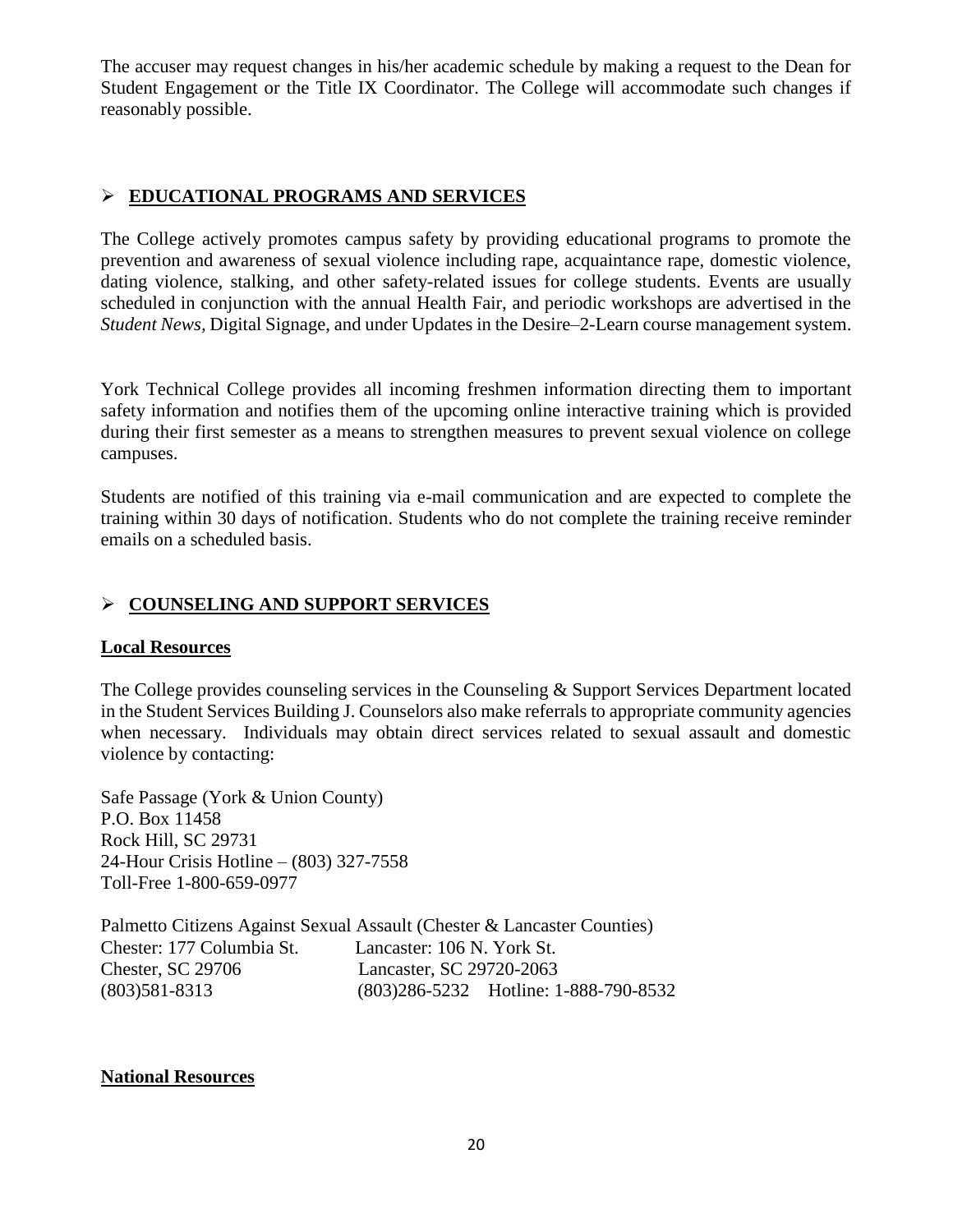The accuser may request changes in his/her academic schedule by making a request to the Dean for Student Engagement or the Title IX Coordinator. The College will accommodate such changes if reasonably possible.

#### **EDUCATIONAL PROGRAMS AND SERVICES**

The College actively promotes campus safety by providing educational programs to promote the prevention and awareness of sexual violence including rape, acquaintance rape, domestic violence, dating violence, stalking, and other safety-related issues for college students. Events are usually scheduled in conjunction with the annual Health Fair, and periodic workshops are advertised in the *Student News,* Digital Signage, and under Updates in the Desire–2-Learn course management system.

York Technical College provides all incoming freshmen information directing them to important safety information and notifies them of the upcoming online interactive training which is provided during their first semester as a means to strengthen measures to prevent sexual violence on college campuses.

Students are notified of this training via e-mail communication and are expected to complete the training within 30 days of notification. Students who do not complete the training receive reminder emails on a scheduled basis.

#### **COUNSELING AND SUPPORT SERVICES**

#### **Local Resources**

The College provides counseling services in the Counseling & Support Services Department located in the Student Services Building J. Counselors also make referrals to appropriate community agencies when necessary. Individuals may obtain direct services related to sexual assault and domestic violence by contacting:

Safe Passage (York & Union County) P.O. Box 11458 Rock Hill, SC 29731 24-Hour Crisis Hotline – (803) 327-7558 Toll-Free 1-800-659-0977

Palmetto Citizens Against Sexual Assault (Chester & Lancaster Counties) Chester: 177 Columbia St. Lancaster: 106 N. York St. Chester, SC 29706 Lancaster, SC 29720-2063 (803)581-8313 (803)286-5232 Hotline: 1-888-790-8532

#### **National Resources**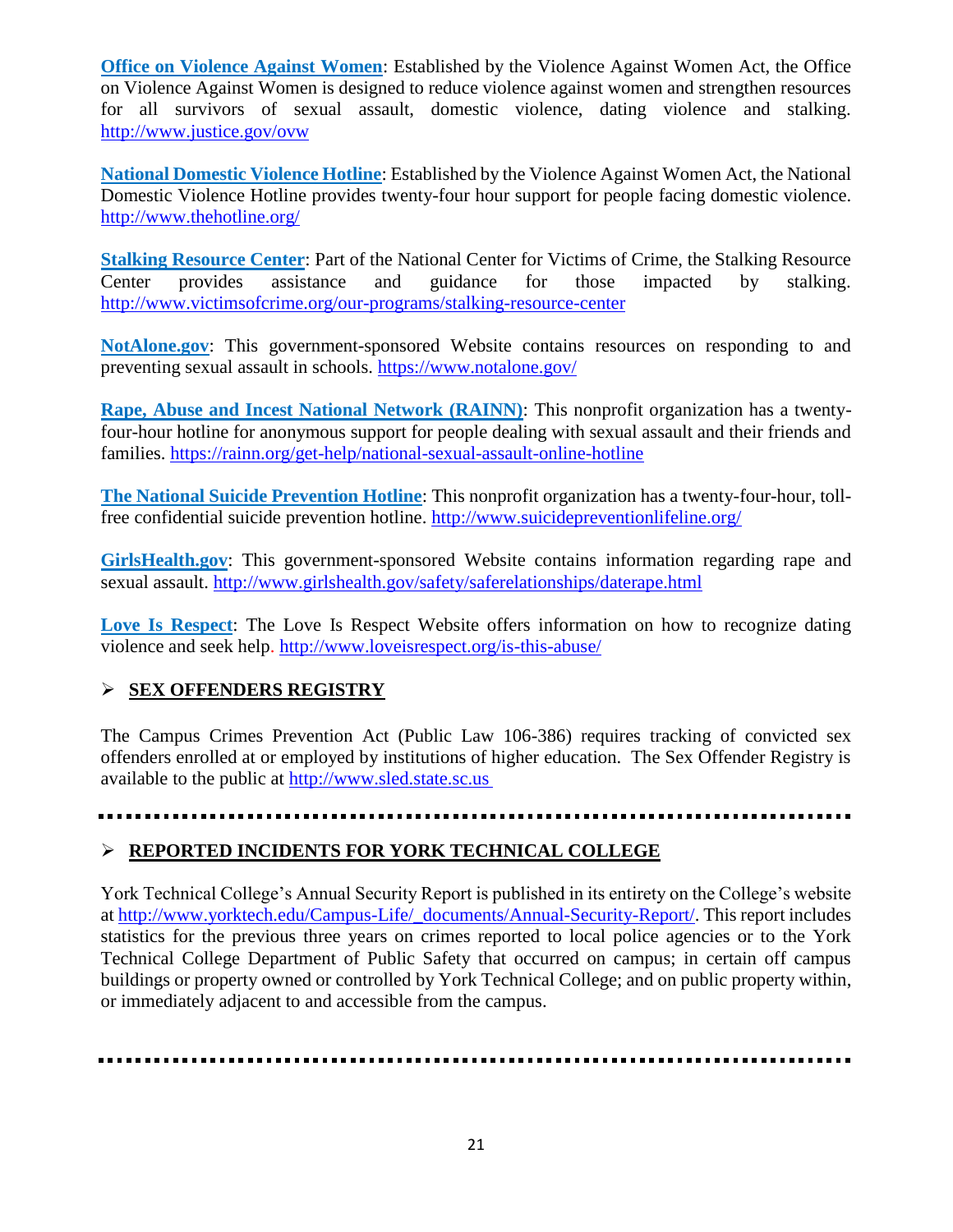**[Office on Violence Against Women](http://www.ovw.usdoj.gov/)**: Established by the Violence Against Women Act, the Office on Violence Against Women is designed to reduce violence against women and strengthen resources for all survivors of sexual assault, domestic violence, dating violence and stalking. <http://www.justice.gov/ovw>

**[National Domestic Violence Hotline](http://www.thehotline.org/)**: Established by the Violence Against Women Act, the National Domestic Violence Hotline provides twenty-four hour support for people facing domestic violence. <http://www.thehotline.org/>

**[Stalking Resource Center](http://www.victimsofcrime.org/our-programs/stalking-resource-center)**: Part of the National Center for Victims of Crime, the Stalking Resource Center provides assistance and guidance for those impacted by stalking. <http://www.victimsofcrime.org/our-programs/stalking-resource-center>

**[NotAlone.gov](https://www.notalone.gov/)**: This government-sponsored Website contains resources on responding to and preventing sexual assault in schools. <https://www.notalone.gov/>

**[Rape, Abuse and Incest National Network \(RAINN\)](http://www.rainn.org/get-help/national-sexual-assault-online-hotline)**: This nonprofit organization has a twentyfour-hour hotline for anonymous support for people dealing with sexual assault and their friends and families. <https://rainn.org/get-help/national-sexual-assault-online-hotline>

**[The National Suicide Prevention Hotline](http://www.suicidepreventionlifeline.org/)**: This nonprofit organization has a twenty-four-hour, tollfree confidential suicide prevention hotline. <http://www.suicidepreventionlifeline.org/>

**[GirlsHealth.gov](http://www.girlshealth.gov/safety/saferelationships/daterape.html)**: This government-sponsored Website contains information regarding rape and sexual assault. <http://www.girlshealth.gov/safety/saferelationships/daterape.html>

**[Love Is Respect](http://www.loveisrespect.org/is-this-abuse/)**: The Love Is Respect Website offers information on how to recognize dating violence and seek help. <http://www.loveisrespect.org/is-this-abuse/>

#### **SEX OFFENDERS REGISTRY**

The Campus Crimes Prevention Act (Public Law 106-386) requires tracking of convicted sex offenders enrolled at or employed by institutions of higher education. The Sex Offender Registry is available to the public at [http://www.sled.state.sc.us](http://www.sled.state.sc.us/)

#### **REPORTED INCIDENTS FOR YORK TECHNICAL COLLEGE**

York Technical College's Annual Security Report is published in its entirety on the College's website at [http://www.yorktech.edu/Campus-Life/\\_documents/Annual-Security-Report/.](http://www.yorktech.edu/Campus-Life/_documents/Annual-Security-Report/) This report includes statistics for the previous three years on crimes reported to local police agencies or to the York Technical College Department of Public Safety that occurred on campus; in certain off campus buildings or property owned or controlled by York Technical College; and on public property within, or immediately adjacent to and accessible from the campus.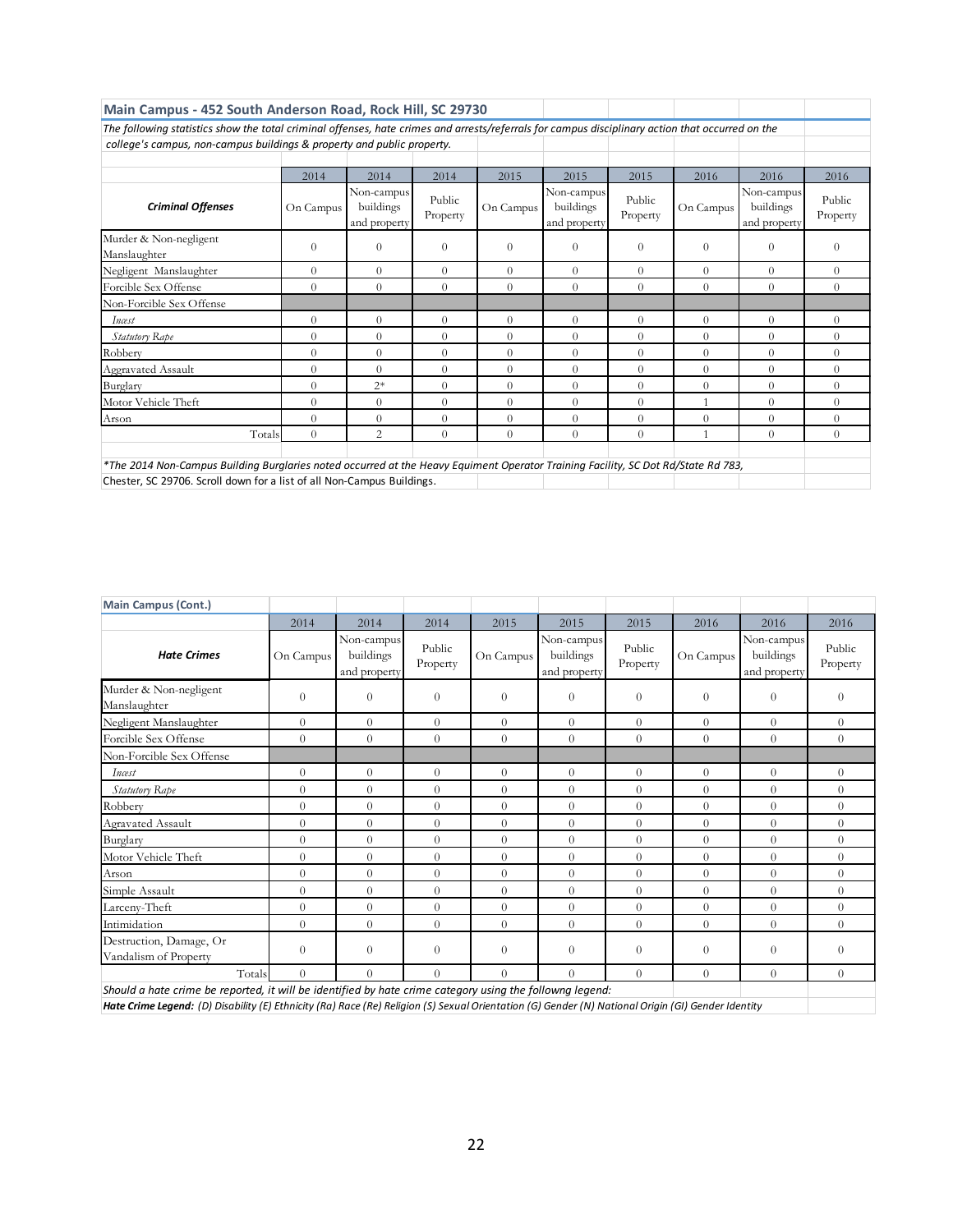| Main Campus - 452 South Anderson Road, Rock Hill, SC 29730                                                                                                                                                  |           |                                         |                    |           |                                         |                    |                |                                         |                    |
|-------------------------------------------------------------------------------------------------------------------------------------------------------------------------------------------------------------|-----------|-----------------------------------------|--------------------|-----------|-----------------------------------------|--------------------|----------------|-----------------------------------------|--------------------|
| The following statistics show the total criminal offenses, hate crimes and arrests/referrals for campus disciplinary action that occurred on the                                                            |           |                                         |                    |           |                                         |                    |                |                                         |                    |
| college's campus, non-campus buildings & property and public property.                                                                                                                                      |           |                                         |                    |           |                                         |                    |                |                                         |                    |
|                                                                                                                                                                                                             |           |                                         |                    |           |                                         |                    |                |                                         |                    |
|                                                                                                                                                                                                             | 2014      | 2014                                    | 2014               | 2015      | 2015                                    | 2015               | 2016           | 2016                                    | 2016               |
| <b>Criminal Offenses</b>                                                                                                                                                                                    | On Campus | Non-campus<br>buildings<br>and property | Public<br>Property | On Campus | Non-campus<br>buildings<br>and property | Public<br>Property | On Campus      | Non-campus<br>buildings<br>and property | Public<br>Property |
| Murder & Non-negligent<br>Manslaughter                                                                                                                                                                      | $\Omega$  | $\Omega$                                | $\Omega$           | $\Omega$  | $\theta$                                | $\Omega$           | $\Omega$       | $\Omega$                                | $\Omega$           |
| Negligent Manslaughter                                                                                                                                                                                      | $\Omega$  | $\overline{0}$                          | $\Omega$           | $\Omega$  | $\theta$                                | $\Omega$           | $\Omega$       | $\Omega$                                | $\theta$           |
| Forcible Sex Offense                                                                                                                                                                                        | $\Omega$  | $\theta$                                | $\Omega$           | $\Omega$  | $\theta$                                | $\Omega$           | $\Omega$       | $\Omega$                                | $\Omega$           |
| Non-Forcible Sex Offense                                                                                                                                                                                    |           |                                         |                    |           |                                         |                    |                |                                         |                    |
| Incest                                                                                                                                                                                                      | $\Omega$  | $\theta$                                | $\Omega$           | $\theta$  | $\theta$                                | $\Omega$           | $\Omega$       | $\overline{0}$                          | $\theta$           |
| <b>Statutory Rape</b>                                                                                                                                                                                       | $\Omega$  | $\theta$                                | $\theta$           | $\Omega$  | $\Omega$                                | $\Omega$           | $\theta$       | $\theta$                                | $\Omega$           |
| Robbery                                                                                                                                                                                                     | $\Omega$  | $\theta$                                | $\theta$           | $\Omega$  | $\Omega$                                | $\Omega$           | $\theta$       | $\Omega$                                | $\Omega$           |
| Aggravated Assault                                                                                                                                                                                          | $\Omega$  | $\theta$                                | $\theta$           | $\Omega$  | $\theta$                                | $\theta$           | $\Omega$       | $\overline{0}$                          | $\Omega$           |
| Burglary                                                                                                                                                                                                    | $\Omega$  | $2*$                                    | $\overline{0}$     | $\theta$  | $\theta$                                | $\Omega$           | $\overline{0}$ | $\theta$                                | $\Omega$           |
| Motor Vehicle Theft                                                                                                                                                                                         | $\Omega$  | $\Omega$                                | $\theta$           | $\Omega$  | $\theta$                                | $\Omega$           |                | $\Omega$                                | $\Omega$           |
| Arson                                                                                                                                                                                                       | $\Omega$  | $\Omega$                                | $\theta$           | $\Omega$  | $\theta$                                | $\Omega$           | $\theta$       | $\Omega$                                | $\Omega$           |
| Totals                                                                                                                                                                                                      | $\Omega$  | $\overline{c}$                          | $\theta$           | $\Omega$  | $\Omega$                                | $\Omega$           |                | $\Omega$                                | $\Omega$           |
| *The 2014 Non-Campus Building Burglaries noted occurred at the Heavy Equiment Operator Training Facility, SC Dot Rd/State Rd 783,<br>Chester, SC 29706. Scroll down for a list of all Non-Campus Buildings. |           |                                         |                    |           |                                         |                    |                |                                         |                    |

| <b>Main Campus (Cont.)</b>                                                                               |           |                                         |                    |           |                                         |                    |                |                                         |                    |
|----------------------------------------------------------------------------------------------------------|-----------|-----------------------------------------|--------------------|-----------|-----------------------------------------|--------------------|----------------|-----------------------------------------|--------------------|
|                                                                                                          | 2014      | 2014                                    | 2014               | 2015      | 2015                                    | 2015               | 2016           | 2016                                    | 2016               |
| <b>Hate Crimes</b>                                                                                       | On Campus | Non-campus<br>buildings<br>and property | Public<br>Property | On Campus | Non-campus<br>buildings<br>and property | Public<br>Property | On Campus      | Non-campus<br>buildings<br>and property | Public<br>Property |
| Murder & Non-negligent<br>Manslaughter                                                                   | $\Omega$  | $\Omega$                                | $\overline{0}$     | $\Omega$  | $\Omega$                                | $\theta$           | $\theta$       | $\Omega$                                | $\Omega$           |
| Negligent Manslaughter                                                                                   | $\Omega$  | $\Omega$                                | $\Omega$           | $\Omega$  | $\Omega$                                | $\Omega$           | $\Omega$       | $\Omega$                                | $\Omega$           |
| Forcible Sex Offense                                                                                     | $\Omega$  | $\Omega$                                | $\Omega$           | $\theta$  | $\Omega$                                | $\Omega$           | $\Omega$       | $\theta$                                | $\Omega$           |
| Non-Forcible Sex Offense                                                                                 |           |                                         |                    |           |                                         |                    |                |                                         |                    |
| Incest                                                                                                   | $\Omega$  | $\Omega$                                | $\overline{0}$     | $\Omega$  | $\Omega$                                | $\Omega$           | $\Omega$       | $\theta$                                | $\overline{0}$     |
| Statutory Rape                                                                                           | $\Omega$  | $\Omega$                                | $\overline{0}$     | $\theta$  | $\theta$                                | $\Omega$           | $\theta$       | $\theta$                                | $\overline{0}$     |
| Robbery                                                                                                  | $\Omega$  | $\theta$                                | $\theta$           | $\theta$  | $\theta$                                | $\theta$           | $\overline{0}$ | $\theta$                                | $\theta$           |
| Agravated Assault                                                                                        | $\Omega$  | $\Omega$                                | $\overline{0}$     | $\theta$  | $\Omega$                                | $\Omega$           | $\overline{0}$ | $\theta$                                | $\Omega$           |
| Burglary                                                                                                 | $\Omega$  | $\Omega$                                | $\overline{0}$     | $\theta$  | $\Omega$                                | $\Omega$           | $\overline{0}$ | $\overline{0}$                          | $\Omega$           |
| Motor Vehicle Theft                                                                                      | $\Omega$  | $\Omega$                                | $\Omega$           | $\theta$  | $\Omega$                                | $\Omega$           | $\Omega$       | $\Omega$                                | $\Omega$           |
| Arson                                                                                                    | $\Omega$  | $\Omega$                                | $\theta$           | $\theta$  | $\Omega$                                | $\Omega$           | $\Omega$       | $\theta$                                | $\theta$           |
| Simple Assault                                                                                           | $\Omega$  | $\Omega$                                | $\theta$           | $\Omega$  | $\Omega$                                | $\Omega$           | $\overline{0}$ | $\theta$                                | $\theta$           |
| Larceny-Theft                                                                                            | $\Omega$  | $\Omega$                                | $\theta$           | $\theta$  | $\Omega$                                | $\Omega$           | $\Omega$       | $\theta$                                | $\theta$           |
| Intimidation                                                                                             | $\Omega$  | $\Omega$                                | $\theta$           | $\theta$  | $\Omega$                                | $\Omega$           | $\overline{0}$ | $\Omega$                                | $\Omega$           |
| Destruction, Damage, Or<br>Vandalism of Property                                                         | $\theta$  | $\theta$                                | $\theta$           | $\Omega$  | $\theta$                                | $\theta$           | $\theta$       | $\Omega$                                | $\theta$           |
| Totals                                                                                                   | $\theta$  | $\Omega$                                | $\Omega$           | $\Omega$  | $\Omega$                                | $\Omega$           | $\Omega$       | $\theta$                                | $\Omega$           |
| Should a hate crime be reported, it will be identified by hate crime category using the followng legend: |           |                                         |                    |           |                                         |                    |                |                                         |                    |

*Hate Crime Legend: (D) Disability (E) Ethnicity (Ra) Race (Re) Religion (S) Sexual Orientation (G) Gender (N) National Origin (GI) Gender Identity*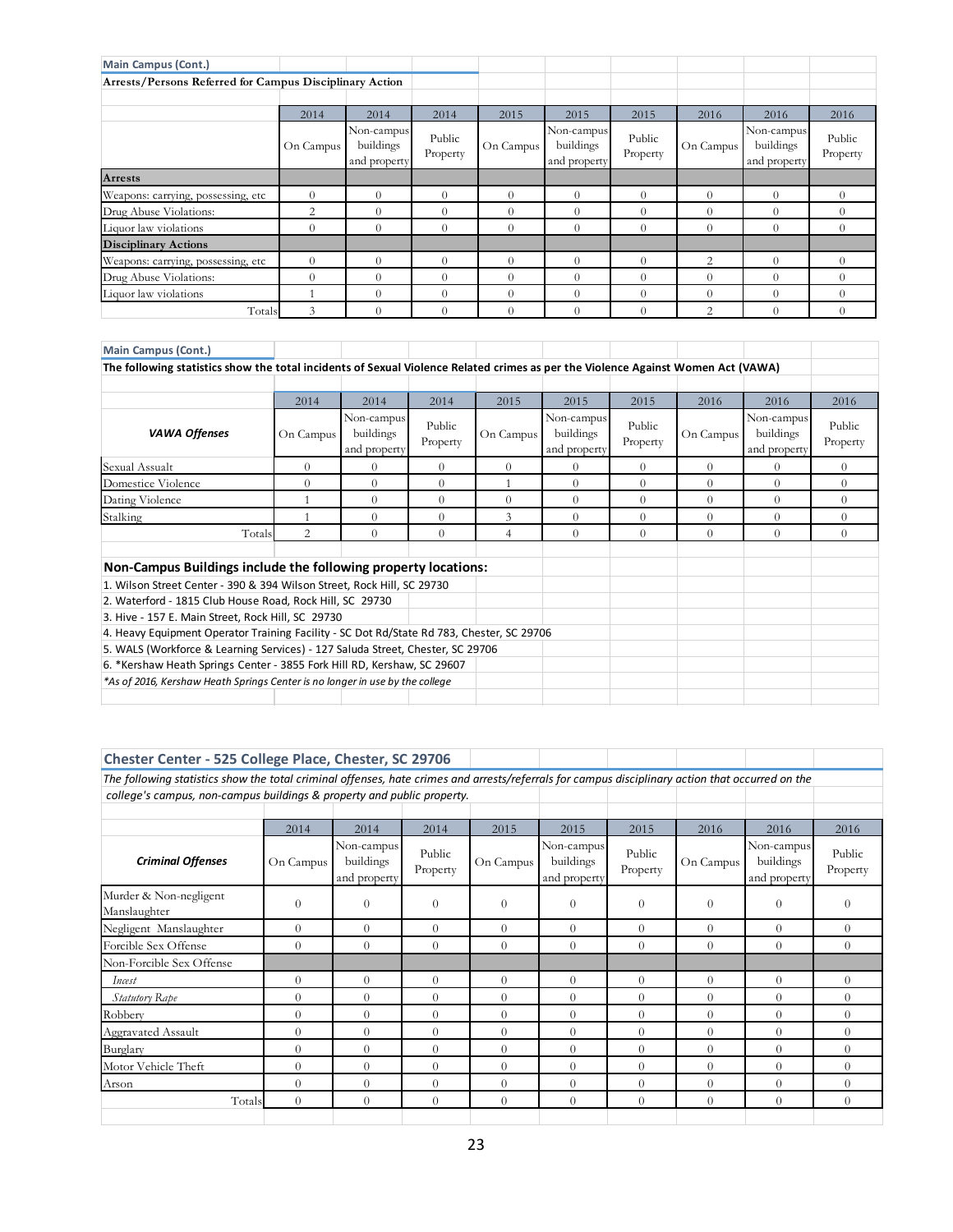| <b>Main Campus (Cont.)</b>                              |           |                                         |                    |            |                                         |                    |                |                                         |                    |
|---------------------------------------------------------|-----------|-----------------------------------------|--------------------|------------|-----------------------------------------|--------------------|----------------|-----------------------------------------|--------------------|
| Arrests/Persons Referred for Campus Disciplinary Action |           |                                         |                    |            |                                         |                    |                |                                         |                    |
|                                                         |           |                                         |                    |            |                                         |                    |                |                                         |                    |
|                                                         | 2014      | 2014                                    | 2014               | 2015       | 2015                                    | 2015               | 2016           | 2016                                    | 2016               |
|                                                         | On Campus | Non-campus<br>buildings<br>and property | Public<br>Property | On Campus  | Non-campus<br>buildings<br>and property | Public<br>Property | On Campus      | Non-campus<br>buildings<br>and property | Public<br>Property |
| <b>Arrests</b>                                          |           |                                         |                    |            |                                         |                    |                |                                         |                    |
| Weapons: carrying, possessing, etc                      | $\Omega$  | $\Omega$                                | $\Omega$           | $\Omega$   | $\Omega$                                | $\Omega$           | $\Omega$       | $\theta$                                | $\Omega$           |
| Drug Abuse Violations:                                  | 2         | $\Omega$                                | $\Omega$           | $\theta$   | $\Omega$                                | $\Omega$           | $\Omega$       | $\Omega$                                | $\Omega$           |
| Liquor law violations                                   | $\Omega$  | $\Omega$                                | $\Omega$           | $\Omega$   | $\Omega$                                | $\Omega$           | $\Omega$       | 0                                       | $\Omega$           |
| <b>Disciplinary Actions</b>                             |           |                                         |                    |            |                                         |                    |                |                                         |                    |
| Weapons: carrying, possessing, etc                      | $\Omega$  | $\Omega$                                | $\Omega$           | $\Omega$   | $\Omega$                                | $\Omega$           | $\overline{2}$ | $\Omega$                                | $\Omega$           |
| Drug Abuse Violations:                                  | $\Omega$  |                                         | $\Omega$           | $\sqrt{ }$ | 0                                       | $\Omega$           | $\Omega$       |                                         | 0                  |
| Liquor law violations                                   |           | $\Omega$                                | $\Omega$           | $\Omega$   | $\Omega$                                | $\Omega$           | $\Omega$       | $\Omega$                                | $\Omega$           |
| Totals                                                  | 3         |                                         | $\Omega$           | $\Omega$   | $\Omega$                                | $\Omega$           | $\overline{2}$ | $\Omega$                                | $\Omega$           |

| <b>Main Campus (Cont.)</b>                                                                                                       |                |                                         |                    |           |                                         |                    |           |                                         |                    |
|----------------------------------------------------------------------------------------------------------------------------------|----------------|-----------------------------------------|--------------------|-----------|-----------------------------------------|--------------------|-----------|-----------------------------------------|--------------------|
| The following statistics show the total incidents of Sexual Violence Related crimes as per the Violence Against Women Act (VAWA) |                |                                         |                    |           |                                         |                    |           |                                         |                    |
|                                                                                                                                  |                |                                         |                    |           |                                         |                    |           |                                         |                    |
|                                                                                                                                  | 2014           | 2014                                    | 2014               | 2015      | 2015                                    | 2015               | 2016      | 2016                                    | 2016               |
| <b>VAWA Offenses</b>                                                                                                             | On Campus      | Non-campus<br>buildings<br>and property | Public<br>Property | On Campus | Non-campus<br>buildings<br>and property | Public<br>Property | On Campus | Non-campus<br>buildings<br>and property | Public<br>Property |
| Sexual Assualt                                                                                                                   | $\Omega$       | $\Omega$                                | $\Omega$           | $\Omega$  | $\Omega$                                | $\Omega$           | $\Omega$  | $\Omega$                                | $\Omega$           |
| Domestice Violence                                                                                                               | $\Omega$       | $\Omega$                                | $\theta$           |           | $\Omega$                                | $\theta$           | $\Omega$  | $\Omega$                                | $\Omega$           |
| Dating Violence                                                                                                                  |                | $\Omega$                                | $\Omega$           | $\Omega$  | $\Omega$                                | $\Omega$           | $\Omega$  | $\Omega$                                | $\Omega$           |
| Stalking                                                                                                                         |                | $\Omega$                                | $\Omega$           | 3         | $\Omega$                                | $\Omega$           | $\Omega$  | $\Omega$                                | $\Omega$           |
| Totals                                                                                                                           | $\overline{2}$ | $\Omega$                                | $\theta$           | 4         | $\Omega$                                | $\Omega$           | $\Omega$  | $\Omega$                                | $\Omega$           |
| Non-Campus Buildings include the following property locations:                                                                   |                |                                         |                    |           |                                         |                    |           |                                         |                    |
| 1. Wilson Street Center - 390 & 394 Wilson Street, Rock Hill, SC 29730                                                           |                |                                         |                    |           |                                         |                    |           |                                         |                    |
| 2. Waterford - 1815 Club House Road, Rock Hill, SC 29730                                                                         |                |                                         |                    |           |                                         |                    |           |                                         |                    |
| 3. Hive - 157 E. Main Street, Rock Hill, SC 29730                                                                                |                |                                         |                    |           |                                         |                    |           |                                         |                    |
| 4. Heavy Equipment Operator Training Facility - SC Dot Rd/State Rd 783, Chester, SC 29706                                        |                |                                         |                    |           |                                         |                    |           |                                         |                    |
| 5. WALS (Workforce & Learning Services) - 127 Saluda Street, Chester, SC 29706                                                   |                |                                         |                    |           |                                         |                    |           |                                         |                    |
| 6. *Kershaw Heath Springs Center - 3855 Fork Hill RD, Kershaw, SC 29607                                                          |                |                                         |                    |           |                                         |                    |           |                                         |                    |
| *As of 2016, Kershaw Heath Springs Center is no longer in use by the college                                                     |                |                                         |                    |           |                                         |                    |           |                                         |                    |
|                                                                                                                                  |                |                                         |                    |           |                                         |                    |           |                                         |                    |

| Chester Center - 525 College Place, Chester, SC 29706                                                                                            |           |                                         |                    |           |                                         |                    |           |                                         |                    |  |  |
|--------------------------------------------------------------------------------------------------------------------------------------------------|-----------|-----------------------------------------|--------------------|-----------|-----------------------------------------|--------------------|-----------|-----------------------------------------|--------------------|--|--|
| The following statistics show the total criminal offenses, hate crimes and arrests/referrals for campus disciplinary action that occurred on the |           |                                         |                    |           |                                         |                    |           |                                         |                    |  |  |
| college's campus, non-campus buildings & property and public property.                                                                           |           |                                         |                    |           |                                         |                    |           |                                         |                    |  |  |
|                                                                                                                                                  |           |                                         |                    |           |                                         |                    |           |                                         |                    |  |  |
|                                                                                                                                                  | 2014      | 2014                                    | 2014               | 2015      | 2015                                    | 2015               | 2016      | 2016                                    | 2016               |  |  |
| <b>Criminal Offenses</b>                                                                                                                         | On Campus | Non-campus<br>buildings<br>and property | Public<br>Property | On Campus | Non-campus<br>buildings<br>and property | Public<br>Property | On Campus | Non-campus<br>buildings<br>and property | Public<br>Property |  |  |
| Murder & Non-negligent<br>Manslaughter                                                                                                           | $\Omega$  | $\theta$                                | $\theta$           | $\Omega$  | $\theta$                                | $\theta$           | $\theta$  | $\Omega$                                | $\Omega$           |  |  |
| Negligent Manslaughter                                                                                                                           | $\Omega$  | $\Omega$                                | $\Omega$           | $\Omega$  | $\theta$                                | $\theta$           | $\Omega$  | $\Omega$                                | $\theta$           |  |  |
| Forcible Sex Offense                                                                                                                             | $\Omega$  | $\Omega$                                | $\Omega$           | $\Omega$  | $\Omega$                                | $\theta$           | $\theta$  | $\theta$                                | $\Omega$           |  |  |
| Non-Forcible Sex Offense                                                                                                                         |           |                                         |                    |           |                                         |                    |           |                                         |                    |  |  |
| Incest                                                                                                                                           | $\Omega$  | $\Omega$                                | $\Omega$           | $\Omega$  | $\theta$                                | $\theta$           | $\theta$  | $\Omega$                                | $\Omega$           |  |  |
| Statutory Rape                                                                                                                                   | $\Omega$  | $\Omega$                                | $\Omega$           | $\Omega$  | $\theta$                                | $\theta$           | $\theta$  | $\Omega$                                | $\Omega$           |  |  |
| Robbery                                                                                                                                          | $\Omega$  | $\Omega$                                | $\Omega$           | $\Omega$  | $\theta$                                | $\theta$           | $\theta$  | $\Omega$                                | $\theta$           |  |  |
| <b>Aggravated Assault</b>                                                                                                                        | $\Omega$  | $\Omega$                                | $\Omega$           | $\Omega$  | $\theta$                                | $\theta$           | $\Omega$  | $\Omega$                                | $\Omega$           |  |  |
| Burglary                                                                                                                                         | $\Omega$  | $\Omega$                                | $\Omega$           | $\Omega$  | $\theta$                                | $\theta$           | $\Omega$  | $\Omega$                                | $\Omega$           |  |  |
| Motor Vehicle Theft                                                                                                                              | $\Omega$  | $\Omega$                                | $\Omega$           | $\Omega$  | $\Omega$                                | $\theta$           | $\theta$  | $\Omega$                                | $\Omega$           |  |  |
| Arson                                                                                                                                            | $\Omega$  | $\Omega$                                | $\Omega$           | $\theta$  | $\theta$                                | $\theta$           | $\Omega$  | $\Omega$                                | $\Omega$           |  |  |
| Totals                                                                                                                                           | $\Omega$  | $\Omega$                                | $\Omega$           | $\Omega$  | $\Omega$                                | $\theta$           | $\Omega$  | $\Omega$                                | $\theta$           |  |  |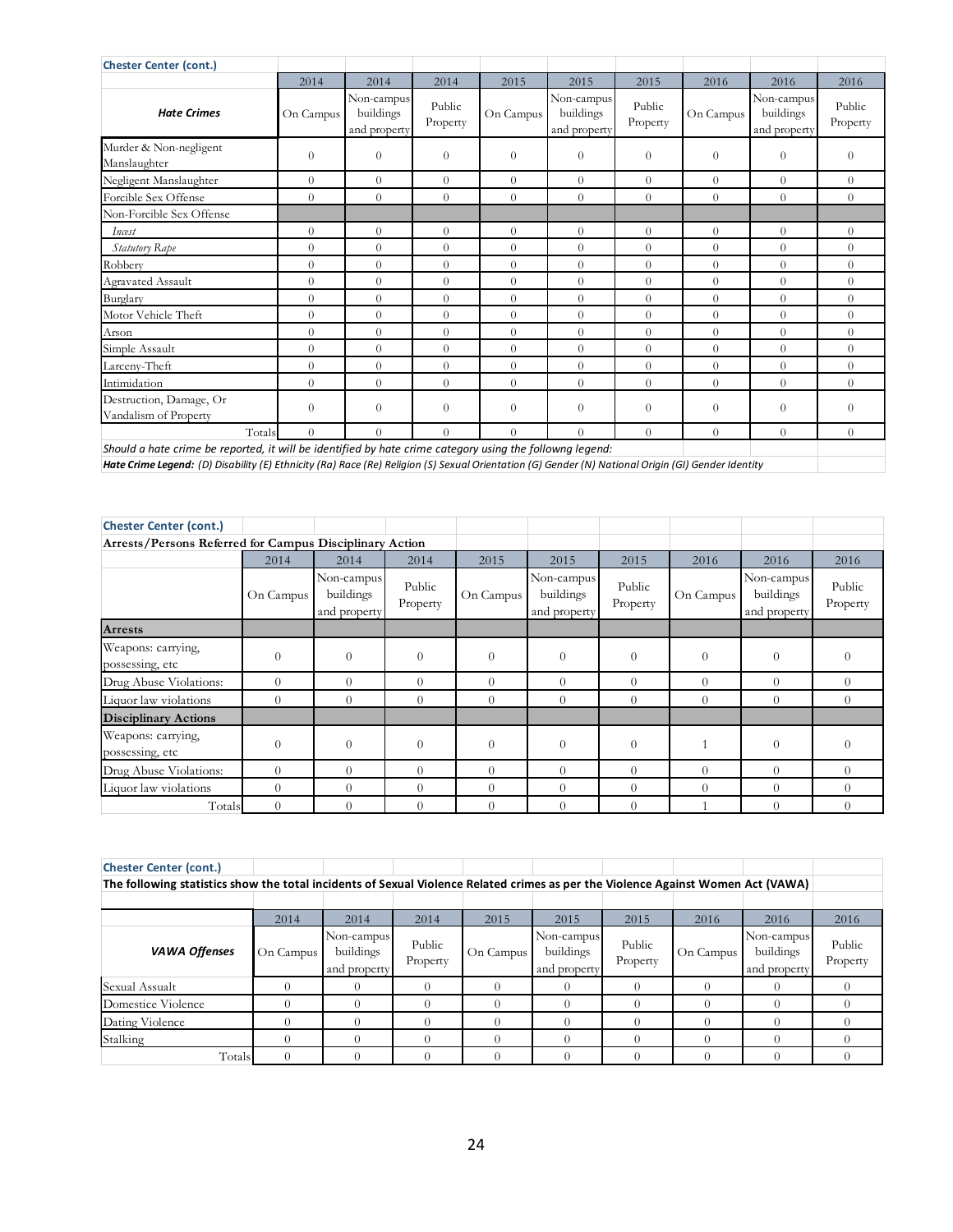| <b>Chester Center (cont.)</b>                                                                            |                |                                         |                    |           |                                         |                    |                |                                         |                    |
|----------------------------------------------------------------------------------------------------------|----------------|-----------------------------------------|--------------------|-----------|-----------------------------------------|--------------------|----------------|-----------------------------------------|--------------------|
|                                                                                                          | 2014           | 2014                                    | 2014               | 2015      | 2015                                    | 2015               | 2016           | 2016                                    | 2016               |
| <b>Hate Crimes</b>                                                                                       | On Campus      | Non-campus<br>buildings<br>and property | Public<br>Property | On Campus | Non-campus<br>buildings<br>and property | Public<br>Property | On Campus      | Non-campus<br>buildings<br>and property | Public<br>Property |
| Murder & Non-negligent<br>Manslaughter                                                                   | $\overline{0}$ | $\Omega$                                | $\theta$           | $\theta$  | $\Omega$                                | $\theta$           | $\Omega$       | $\Omega$                                | $\Omega$           |
| Negligent Manslaughter                                                                                   | $\theta$       | $\Omega$                                | $\theta$           | $\Omega$  | $\Omega$                                | $\theta$           | $\Omega$       | $\overline{0}$                          | $\Omega$           |
| Forcible Sex Offense                                                                                     | $\theta$       | $\Omega$                                | $\theta$           | $\Omega$  | $\Omega$                                | $\theta$           | $\Omega$       | $\theta$                                | $\theta$           |
| Non-Forcible Sex Offense                                                                                 |                |                                         |                    |           |                                         |                    |                |                                         |                    |
| Incest                                                                                                   | $\theta$       | $\theta$                                | $\overline{0}$     | $\Omega$  | $\overline{0}$                          | $\theta$           | $\Omega$       | $\overline{0}$                          | $\theta$           |
| Statutory Rape                                                                                           | $\theta$       | $\Omega$                                | $\overline{0}$     | $\Omega$  | $\Omega$                                | $\theta$           | $\theta$       | $\Omega$                                | $\Omega$           |
| Robbery                                                                                                  | $\theta$       | $\theta$                                | $\theta$           | $\Omega$  | $\overline{0}$                          | $\theta$           | $\Omega$       | $\theta$                                | $\Omega$           |
| Agravated Assault                                                                                        | $\Omega$       | $\Omega$                                | $\theta$           | $\Omega$  | $\Omega$                                | $\theta$           | $\Omega$       | $\Omega$                                | $\Omega$           |
| Burglary                                                                                                 | $\Omega$       | $\Omega$                                | $\theta$           | $\Omega$  | $\Omega$                                | $\theta$           | $\Omega$       | $\Omega$                                | $\Omega$           |
| Motor Vehicle Theft                                                                                      | $\Omega$       | $\Omega$                                | $\theta$           | $\Omega$  | $\Omega$                                | $\theta$           | $\Omega$       | $\Omega$                                | $\Omega$           |
| Arson                                                                                                    | $\theta$       | $\theta$                                | $\theta$           | $\Omega$  | $\Omega$                                | $\theta$           | $\Omega$       | $\overline{0}$                          | $\Omega$           |
| Simple Assault                                                                                           | $\theta$       | $\Omega$                                | $\theta$           | $\Omega$  | $\Omega$                                | $\theta$           | $\Omega$       | $\theta$                                | $\Omega$           |
| Larceny-Theft                                                                                            | $\theta$       | $\theta$                                | $\overline{0}$     | $\Omega$  | $\Omega$                                | $\theta$           | $\overline{0}$ | $\theta$                                | $\theta$           |
| Intimidation                                                                                             | $\theta$       | $\theta$                                | $\Omega$           | $\Omega$  | $\theta$                                | $\theta$           | $\Omega$       | $\theta$                                | $\Omega$           |
| Destruction, Damage, Or<br>Vandalism of Property                                                         | $\overline{0}$ | $\Omega$                                | $\theta$           | $\Omega$  | $\Omega$                                | $\theta$           | $\Omega$       | $\Omega$                                | $\Omega$           |
| Totals                                                                                                   | $\Omega$       | $\Omega$                                | $\Omega$           | $\Omega$  | $\Omega$                                | $\theta$           | $\Omega$       | $\Omega$                                | $\Omega$           |
| Should a hate crime be reported, it will be identified by hate crime category using the followng legend: |                |                                         |                    |           |                                         |                    |                |                                         |                    |

*Hate Crime Legend: (D) Disability (E) Ethnicity (Ra) Race (Re) Religion (S) Sexual Orientation (G) Gender (N) National Origin (GI) Gender Identity*

| <b>Chester Center (cont.)</b>                           |           |                                         |                    |           |                                         |                    |           |                                         |                    |
|---------------------------------------------------------|-----------|-----------------------------------------|--------------------|-----------|-----------------------------------------|--------------------|-----------|-----------------------------------------|--------------------|
| Arrests/Persons Referred for Campus Disciplinary Action |           |                                         |                    |           |                                         |                    |           |                                         |                    |
|                                                         | 2014      | 2014                                    | 2014               | 2015      | 2015                                    | 2015               | 2016      | 2016                                    | 2016               |
|                                                         | On Campus | Non-campus<br>buildings<br>and property | Public<br>Property | On Campus | Non-campus<br>buildings<br>and property | Public<br>Property | On Campus | Non-campus<br>buildings<br>and property | Public<br>Property |
| <b>Arrests</b>                                          |           |                                         |                    |           |                                         |                    |           |                                         |                    |
| Weapons: carrying,<br>possessing, etc                   | $\theta$  | $\theta$                                | $\theta$           | $\theta$  | $\theta$                                | $\theta$           | $\theta$  | $\theta$                                | $\theta$           |
| Drug Abuse Violations:                                  | $\Omega$  | $\Omega$                                | $\theta$           | $\Omega$  | $\overline{0}$                          | $\Omega$           | $\Omega$  | $\theta$                                | $\overline{0}$     |
| Liquor law violations                                   | $\Omega$  | $\Omega$                                | $\Omega$           | $\Omega$  | $\Omega$                                | $\Omega$           | $\Omega$  | $\Omega$                                | $\Omega$           |
| <b>Disciplinary Actions</b>                             |           |                                         |                    |           |                                         |                    |           |                                         |                    |
| Weapons: carrying,<br>possessing, etc                   | $\Omega$  | $\overline{0}$                          | $\theta$           | $\theta$  | $\theta$                                | $\Omega$           |           | $\theta$                                | $\Omega$           |
| Drug Abuse Violations:                                  | $\Omega$  | $\Omega$                                | $\Omega$           | $\Omega$  | $\Omega$                                | $\Omega$           | $\Omega$  | $\Omega$                                | $\Omega$           |
| Liquor law violations                                   | $\Omega$  | $\Omega$                                | $\Omega$           | $\Omega$  | $\Omega$                                | $\Omega$           | $\Omega$  | $\Omega$                                | $\Omega$           |
| Totals                                                  | $\Omega$  | $\Omega$                                | $\theta$           | $\Omega$  | $\Omega$                                | $\Omega$           |           | $\Omega$                                | $\Omega$           |

| <b>Chester Center (cont.)</b>                                                                                                    |           |                                         |                    |           |                                         |                    |           |                                         |                    |
|----------------------------------------------------------------------------------------------------------------------------------|-----------|-----------------------------------------|--------------------|-----------|-----------------------------------------|--------------------|-----------|-----------------------------------------|--------------------|
| The following statistics show the total incidents of Sexual Violence Related crimes as per the Violence Against Women Act (VAWA) |           |                                         |                    |           |                                         |                    |           |                                         |                    |
|                                                                                                                                  |           |                                         |                    |           |                                         |                    |           |                                         |                    |
|                                                                                                                                  | 2014      | 2014                                    | 2014               | 2015      | 2015                                    | 2015               | 2016      | 2016                                    | 2016               |
| <b>VAWA Offenses</b>                                                                                                             | On Campus | Non-campus<br>buildings<br>and property | Public<br>Property | On Campus | Non-campus<br>buildings<br>and property | Public<br>Property | On Campus | Non-campus<br>buildings<br>and property | Public<br>Property |
| Sexual Assualt                                                                                                                   |           |                                         |                    |           |                                         |                    |           |                                         |                    |
| Domestice Violence                                                                                                               |           |                                         |                    |           |                                         |                    |           |                                         |                    |
| Dating Violence                                                                                                                  |           |                                         |                    |           |                                         |                    |           |                                         |                    |
| Stalking                                                                                                                         |           |                                         |                    |           |                                         |                    |           |                                         |                    |
| Totals                                                                                                                           |           |                                         |                    |           |                                         |                    |           |                                         |                    |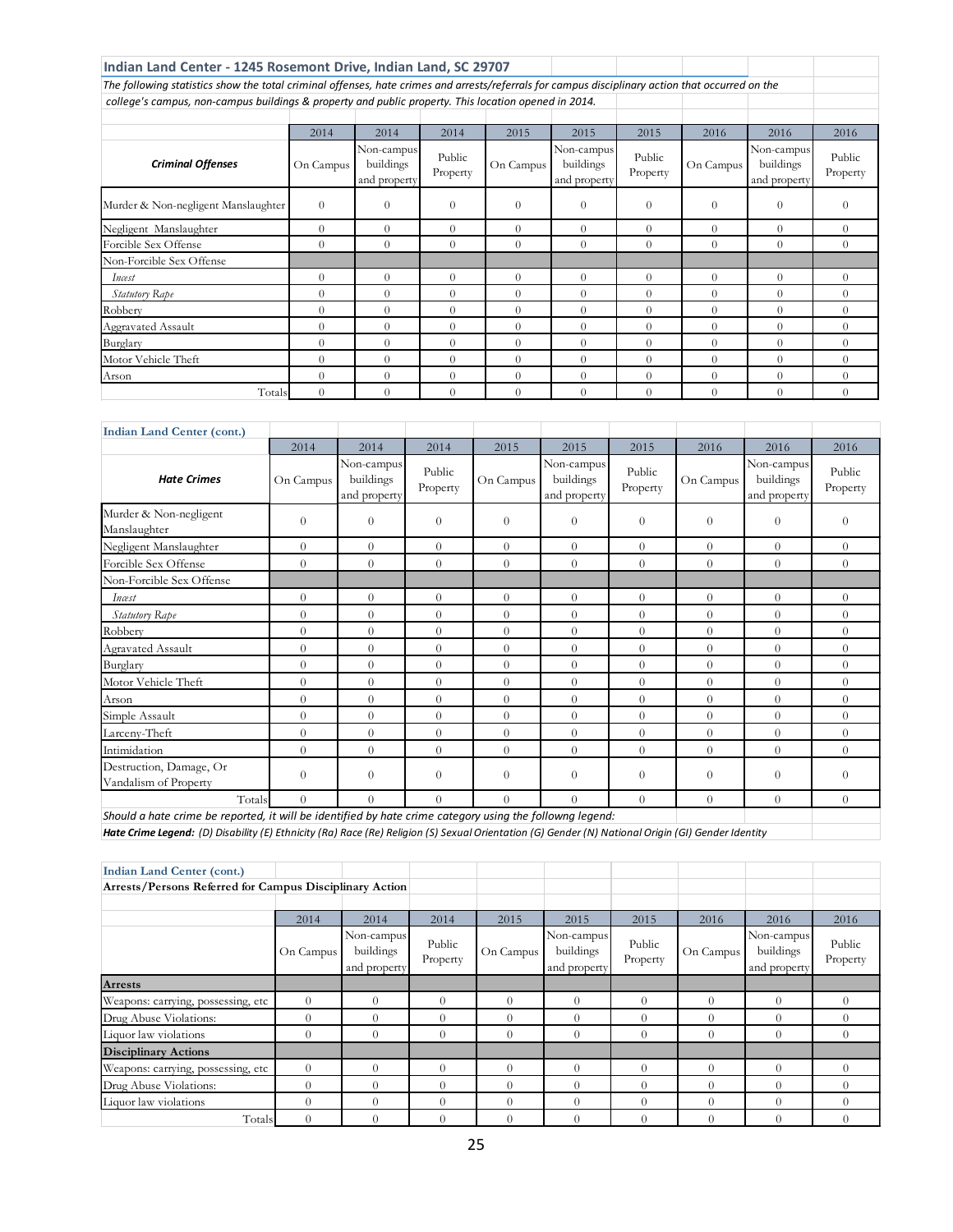| Indian Land Center - 1245 Rosemont Drive, Indian Land, SC 29707                                                                                  |                |                                         |                    |           |                                         |                    |           |                                         |                    |
|--------------------------------------------------------------------------------------------------------------------------------------------------|----------------|-----------------------------------------|--------------------|-----------|-----------------------------------------|--------------------|-----------|-----------------------------------------|--------------------|
| The following statistics show the total criminal offenses, hate crimes and arrests/referrals for campus disciplinary action that occurred on the |                |                                         |                    |           |                                         |                    |           |                                         |                    |
| college's campus, non-campus buildings & property and public property. This location opened in 2014.                                             |                |                                         |                    |           |                                         |                    |           |                                         |                    |
|                                                                                                                                                  |                |                                         |                    |           |                                         |                    |           |                                         |                    |
|                                                                                                                                                  | 2014           | 2014                                    | 2014               | 2015      | 2015                                    | 2015               | 2016      | 2016                                    | 2016               |
| <b>Criminal Offenses</b>                                                                                                                         | On Campus      | Non-campus<br>buildings<br>and property | Public<br>Property | On Campus | Non-campus<br>buildings<br>and property | Public<br>Property | On Campus | Non-campus<br>buildings<br>and property | Public<br>Property |
| Murder & Non-negligent Manslaughter                                                                                                              | $\Omega$       | $\Omega$                                | $\theta$           | $\theta$  | $\Omega$                                | $\Omega$           | $\theta$  | $\Omega$                                | $\Omega$           |
| Negligent Manslaughter                                                                                                                           | $\Omega$       | $\Omega$                                | $\Omega$           | $\Omega$  | $\Omega$                                | $\Omega$           | $\Omega$  | $\Omega$                                | $\theta$           |
| Forcible Sex Offense                                                                                                                             | $\Omega$       | $\Omega$                                | $\theta$           | $\Omega$  | $\Omega$                                | $\Omega$           | $\theta$  | $\Omega$                                | $\theta$           |
| Non-Forcible Sex Offense                                                                                                                         |                |                                         |                    |           |                                         |                    |           |                                         |                    |
| Incest                                                                                                                                           | $\Omega$       | $\Omega$                                | $\theta$           | $\Omega$  | $\Omega$                                | $\Omega$           | $\Omega$  | $\Omega$                                | $\theta$           |
| Statutory Rape                                                                                                                                   | $\Omega$       | $\Omega$                                | $\Omega$           | $\Omega$  | $\Omega$                                | $\Omega$           | $\Omega$  | $\Omega$                                | $\Omega$           |
| Robbery                                                                                                                                          | $\Omega$       | $\Omega$                                | $\Omega$           | $\Omega$  | $\Omega$                                | $\Omega$           | $\Omega$  | $\Omega$                                | $\theta$           |
| Aggravated Assault                                                                                                                               | $\Omega$       | $\Omega$                                | $\Omega$           | $\Omega$  | $\Omega$                                | $\Omega$           | $\Omega$  | $\Omega$                                | $\theta$           |
| Burglary                                                                                                                                         | $\Omega$       | $\Omega$                                | $\Omega$           | $\Omega$  | $\Omega$                                | $\Omega$           | $\Omega$  | $\Omega$                                | $\Omega$           |
| Motor Vehicle Theft                                                                                                                              | $\Omega$       | $\Omega$                                | $\Omega$           | $\Omega$  | $\Omega$                                | $\Omega$           | $\theta$  | $\Omega$                                | $\theta$           |
| Arson                                                                                                                                            | $\Omega$       | $\Omega$                                | $\theta$           | $\Omega$  | $\Omega$                                | $\Omega$           | $\Omega$  | $\Omega$                                | $\Omega$           |
| Totals                                                                                                                                           | $\overline{0}$ | $\Omega$                                | $\overline{0}$     | $\Omega$  | $\Omega$                                | $\Omega$           | $\Omega$  | $\Omega$                                | $\Omega$           |

| <b>Indian Land Center (cont.)</b>                                                                        |                |                                         |                    |                |                                         |                    |           |                                         |                    |
|----------------------------------------------------------------------------------------------------------|----------------|-----------------------------------------|--------------------|----------------|-----------------------------------------|--------------------|-----------|-----------------------------------------|--------------------|
|                                                                                                          | 2014           | 2014                                    | 2014               | 2015           | 2015                                    | 2015               | 2016      | 2016                                    | 2016               |
| <b>Hate Crimes</b>                                                                                       | On Campus      | Non-campus<br>buildings<br>and property | Public<br>Property | On Campus      | Non-campus<br>buildings<br>and property | Public<br>Property | On Campus | Non-campus<br>buildings<br>and property | Public<br>Property |
| Murder & Non-negligent<br>Manslaughter                                                                   | $\overline{0}$ | $\overline{0}$                          | $\theta$           | $\theta$       | $\overline{0}$                          | $\theta$           | $\theta$  | $\Omega$                                | $\theta$           |
| Negligent Manslaughter                                                                                   | $\theta$       | $\Omega$                                | $\Omega$           | $\overline{0}$ | $\theta$                                | $\Omega$           | $\Omega$  | $\Omega$                                | $\Omega$           |
| Forcible Sex Offense                                                                                     | $\theta$       | $\theta$                                | $\Omega$           | $\Omega$       | $\theta$                                | $\Omega$           | $\Omega$  | $\Omega$                                | $\Omega$           |
| Non-Forcible Sex Offense                                                                                 |                |                                         |                    |                |                                         |                    |           |                                         |                    |
| Incest                                                                                                   | $\Omega$       | $\overline{0}$                          | $\Omega$           | $\Omega$       | $\Omega$                                | $\Omega$           | $\Omega$  | $\Omega$                                | $\theta$           |
| Statutory Rape                                                                                           | $\theta$       | $\overline{0}$                          | $\theta$           | $\overline{0}$ | $\overline{0}$                          | $\theta$           | $\theta$  | $\Omega$                                | $\theta$           |
| Robbery                                                                                                  | $\overline{0}$ | $\Omega$                                | $\Omega$           | $\Omega$       | $\theta$                                | $\Omega$           | $\Omega$  | $\Omega$                                | $\Omega$           |
| Agravated Assault                                                                                        | $\overline{0}$ | $\theta$                                | $\theta$           | $\Omega$       | $\theta$                                | $\theta$           | $\theta$  | $\Omega$                                | $\theta$           |
| Burglary                                                                                                 | $\theta$       | $\Omega$                                | $\Omega$           | $\overline{0}$ | $\theta$                                | $\Omega$           | $\Omega$  | $\Omega$                                | $\Omega$           |
| Motor Vehicle Theft                                                                                      | $\theta$       | $\theta$                                | $\Omega$           | $\Omega$       | $\theta$                                | $\Omega$           | $\Omega$  | $\Omega$                                | $\Omega$           |
| Arson                                                                                                    | $\theta$       | $\overline{0}$                          | $\Omega$           | $\Omega$       | $\theta$                                | $\Omega$           | $\Omega$  | $\Omega$                                | $\Omega$           |
| Simple Assault                                                                                           | $\theta$       | $\Omega$                                | $\Omega$           | $\Omega$       | $\Omega$                                | $\Omega$           | $\Omega$  | $\Omega$                                | $\Omega$           |
| Larceny-Theft                                                                                            | $\theta$       | $\overline{0}$                          | $\theta$           | $\overline{0}$ | $\overline{0}$                          | $\overline{0}$     | $\theta$  | $\Omega$                                | $\theta$           |
| Intimidation                                                                                             | $\theta$       | $\overline{0}$                          | $\theta$           | $\overline{0}$ | $\overline{0}$                          | $\overline{0}$     | $\theta$  | $\Omega$                                | $\theta$           |
| Destruction, Damage, Or<br>Vandalism of Property                                                         | $\theta$       | $\theta$                                | $\theta$           | $\Omega$       | $\overline{0}$                          | $\theta$           | $\theta$  | $\Omega$                                | $\theta$           |
| Totals                                                                                                   | $\theta$       | $\Omega$                                | $\Omega$           | $\Omega$       | $\theta$                                | $\Omega$           | $\Omega$  | $\Omega$                                | $\Omega$           |
| Should a hate crime be reported, it will be identified by hate crime category using the followng legend: |                |                                         |                    |                |                                         |                    |           |                                         |                    |

*Hate Crime Legend: (D) Disability (E) Ethnicity (Ra) Race (Re) Religion (S) Sexual Orientation (G) Gender (N) National Origin (GI) Gender Identity*

| <b>Indian Land Center (cont.)</b>                       |           |                                         |                    |           |                                         |                    |           |                                         |                    |
|---------------------------------------------------------|-----------|-----------------------------------------|--------------------|-----------|-----------------------------------------|--------------------|-----------|-----------------------------------------|--------------------|
| Arrests/Persons Referred for Campus Disciplinary Action |           |                                         |                    |           |                                         |                    |           |                                         |                    |
|                                                         |           |                                         |                    |           |                                         |                    |           |                                         |                    |
|                                                         | 2014      | 2014                                    | 2014               | 2015      | 2015                                    | 2015               | 2016      | 2016                                    | 2016               |
|                                                         | On Campus | Non-campus<br>buildings<br>and property | Public<br>Property | On Campus | Non-campus<br>buildings<br>and property | Public<br>Property | On Campus | Non-campus<br>buildings<br>and property | Public<br>Property |
| <b>Arrests</b>                                          |           |                                         |                    |           |                                         |                    |           |                                         |                    |
| Weapons: carrying, possessing, etc                      | $\Omega$  | $\theta$                                | $\Omega$           | $\Omega$  | $\Omega$                                | $\Omega$           | $\theta$  |                                         | $\Omega$           |
| Drug Abuse Violations:                                  | 0         | $\Omega$                                | $\Omega$           | $\Omega$  | $\Omega$                                | $\Omega$           | $\Omega$  |                                         | $\Omega$           |
| Liquor law violations                                   | $\Omega$  | $\Omega$                                | $\Omega$           | $\Omega$  | $\Omega$                                | $\Omega$           | $\Omega$  | $\Omega$                                | $\theta$           |
| <b>Disciplinary Actions</b>                             |           |                                         |                    |           |                                         |                    |           |                                         |                    |
| Weapons: carrying, possessing, etc                      | $\Omega$  | $\Omega$                                | $\Omega$           | $\Omega$  | $\Omega$                                | $\Omega$           | $\Omega$  |                                         |                    |
| Drug Abuse Violations:                                  | $\Omega$  | $\theta$                                | $\Omega$           | $\Omega$  | $\Omega$                                | $\Omega$           | $\Omega$  |                                         | $\Omega$           |
| Liquor law violations                                   | $\Omega$  | $\theta$                                | $\Omega$           | $\Omega$  | $\Omega$                                | $\Omega$           | $\Omega$  | $\Omega$                                | $\Omega$           |
| Totals                                                  | $\Omega$  | $\Omega$                                | $\Omega$           | $\Omega$  | $\Omega$                                | $\Omega$           | $\Omega$  |                                         | $\Omega$           |